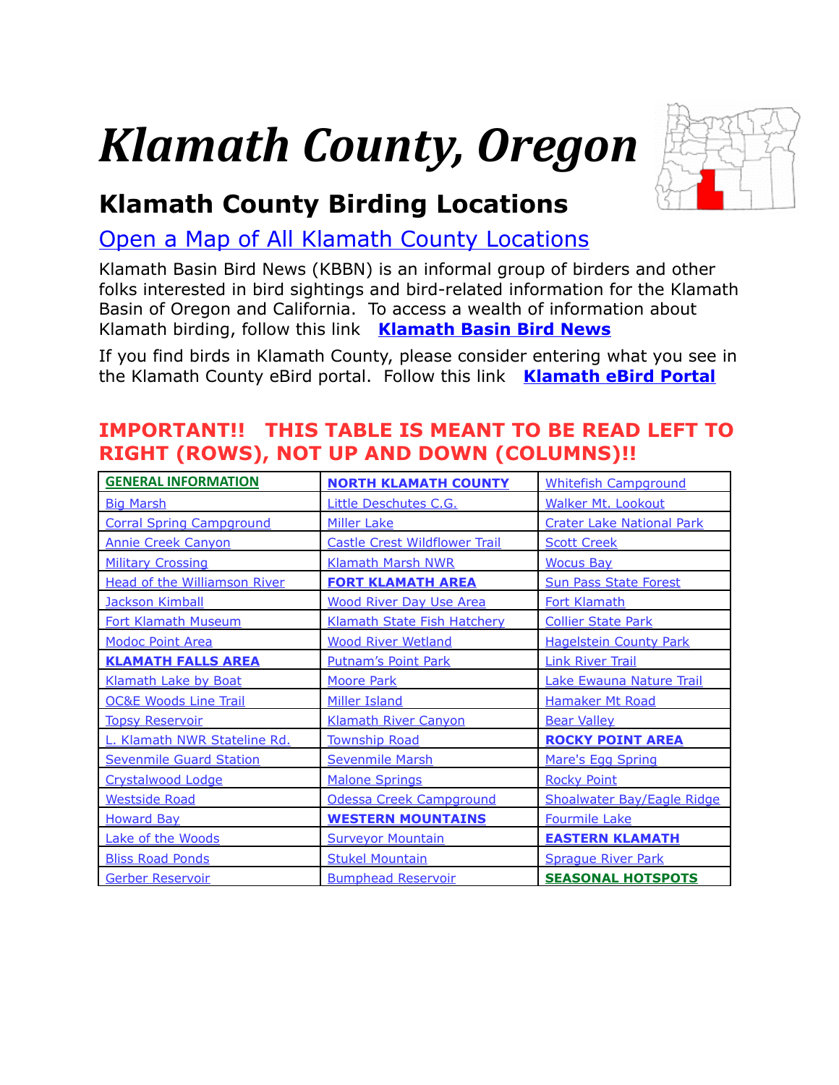# *Klamath County, Oregon*

<span id="page-0-0"></span>

# **Klamath County Birding Locations**

[Open a Map of All Klamath County Locations](https://www.google.com/maps/d/edit?mid=zVl1oTDALjf4.kVY4F1lkjKX4&usp=sharing)

Klamath Basin Bird News (KBBN) is an informal group of birders and other folks interested in bird sightings and bird-related information for the Klamath Basin of Oregon and California. To access a wealth of information about Klamath birding, follow this link **[Klamath Basin Bird News](https://sites.google.com/site/klamathbasinbirdnews/)**

If you find birds in Klamath County, please consider entering what you see in the Klamath County eBird portal. Follow this link **[Klamath eBird Portal](https://sites.google.com/site/klamathbasinbirdnews/consider-submitting-your-bird-sightings-to-ebird)**

# **IMPORTANT!! THIS TABLE IS MEANT TO BE READ LEFT TO RIGHT (ROWS), NOT UP AND DOWN (COLUMNS)!!**

| <b>GENERAL INFORMATION</b>          | <b>NORTH KLAMATH COUNTY</b>          | <b>Whitefish Campground</b>       |
|-------------------------------------|--------------------------------------|-----------------------------------|
| <b>Big Marsh</b>                    | Little Deschutes C.G.                | <b>Walker Mt. Lookout</b>         |
| <b>Corral Spring Campground</b>     | <b>Miller Lake</b>                   | <b>Crater Lake National Park</b>  |
| <b>Annie Creek Canyon</b>           | <b>Castle Crest Wildflower Trail</b> | <b>Scott Creek</b>                |
| <b>Military Crossing</b>            | <b>Klamath Marsh NWR</b>             | <b>Wocus Bay</b>                  |
| <b>Head of the Williamson River</b> | <b>FORT KLAMATH AREA</b>             | <b>Sun Pass State Forest</b>      |
| <b>Jackson Kimball</b>              | <b>Wood River Day Use Area</b>       | <b>Fort Klamath</b>               |
| <b>Fort Klamath Museum</b>          | Klamath State Fish Hatchery          | <b>Collier State Park</b>         |
| <b>Modoc Point Area</b>             | <b>Wood River Wetland</b>            | <b>Hagelstein County Park</b>     |
| <b>KLAMATH FALLS AREA</b>           | <b>Putnam's Point Park</b>           | <b>Link River Trail</b>           |
| Klamath Lake by Boat                | <b>Moore Park</b>                    | Lake Ewauna Nature Trail          |
| <b>OC&amp;E Woods Line Trail</b>    | <b>Miller Island</b>                 | <b>Hamaker Mt Road</b>            |
| <b>Topsy Reservoir</b>              | <b>Klamath River Canyon</b>          | <b>Bear Valley</b>                |
| L. Klamath NWR Stateline Rd.        | <b>Township Road</b>                 | <b>ROCKY POINT AREA</b>           |
| <b>Sevenmile Guard Station</b>      | <b>Sevenmile Marsh</b>               | Mare's Egg Spring                 |
| Crystalwood Lodge                   | <b>Malone Springs</b>                | <b>Rocky Point</b>                |
| <b>Westside Road</b>                | Odessa Creek Campground              | <b>Shoalwater Bay/Eagle Ridge</b> |
| <b>Howard Bay</b>                   | <b>WESTERN MOUNTAINS</b>             | <b>Fourmile Lake</b>              |
| Lake of the Woods                   | <b>Surveyor Mountain</b>             | <b>EASTERN KLAMATH</b>            |
| <b>Bliss Road Ponds</b>             | <b>Stukel Mountain</b>               | <b>Sprague River Park</b>         |
| <b>Gerber Reservoir</b>             | <b>Bumphead Reservoir</b>            | <b>SEASONAL HOTSPOTS</b>          |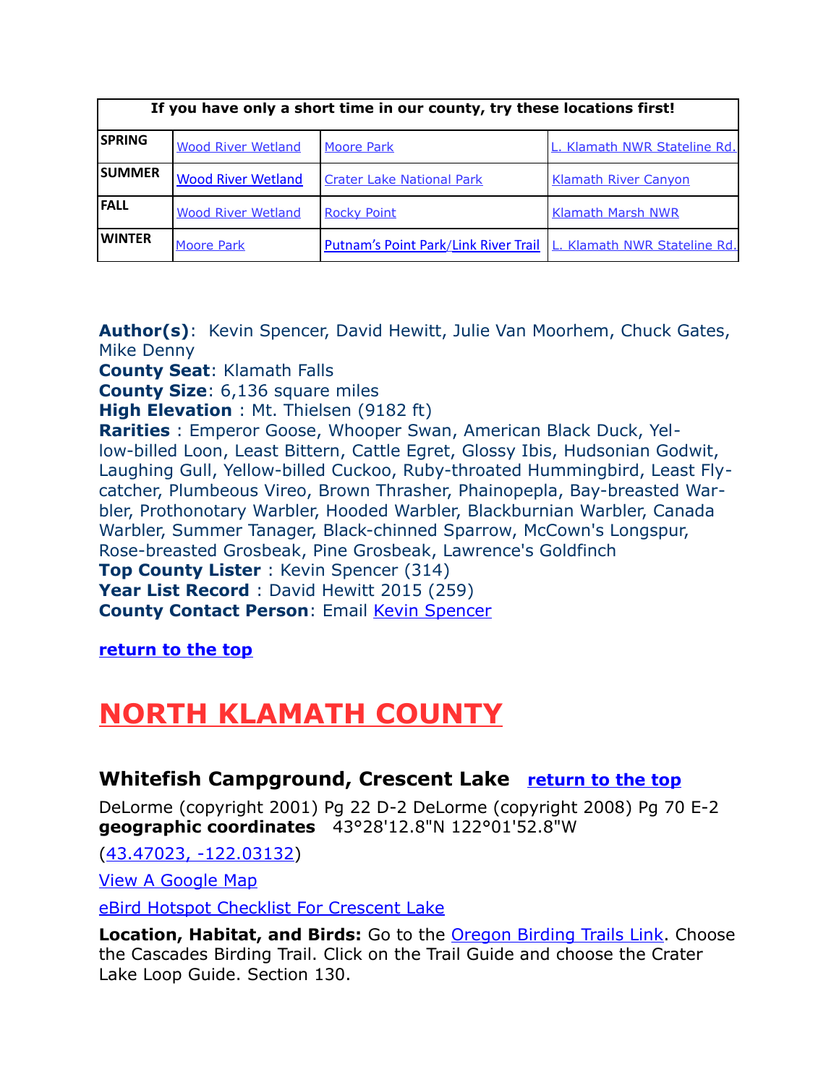<span id="page-1-0"></span>

| If you have only a short time in our county, try these locations first! |                           |                                                                     |                              |
|-------------------------------------------------------------------------|---------------------------|---------------------------------------------------------------------|------------------------------|
| <b>SPRING</b>                                                           | <b>Wood River Wetland</b> | <b>Moore Park</b>                                                   | L. Klamath NWR Stateline Rd. |
| <b>SUMMER</b>                                                           | <b>Wood River Wetland</b> | <b>Crater Lake National Park</b>                                    | <b>Klamath River Canyon</b>  |
| <b>FALL</b>                                                             | <b>Wood River Wetland</b> | <b>Rocky Point</b>                                                  | <b>Klamath Marsh NWR</b>     |
| <b>WINTER</b>                                                           | <b>Moore Park</b>         | Putnam's Point Park/Link River Trail   L. Klamath NWR Stateline Rd. |                              |

<span id="page-1-3"></span>**Author(s)**: Kevin Spencer, David Hewitt, Julie Van Moorhem, Chuck Gates, Mike Denny

**County Seat**: Klamath Falls

**County Size**: 6,136 square miles

**High Elevation** : Mt. Thielsen (9182 ft)

**Rarities** : Emperor Goose, Whooper Swan, American Black Duck, Yellow-billed Loon, Least Bittern, Cattle Egret, Glossy Ibis, Hudsonian Godwit, Laughing Gull, Yellow-billed Cuckoo, Ruby-throated Hummingbird, Least Flycatcher, Plumbeous Vireo, Brown Thrasher, Phainopepla, Bay-breasted Warbler, Prothonotary Warbler, Hooded Warbler, Blackburnian Warbler, Canada Warbler, Summer Tanager, Black-chinned Sparrow, McCown's Longspur, Rose-breasted Grosbeak, Pine Grosbeak, Lawrence's Goldfinch **Top County Lister**: Kevin Spencer (314) Year List Record : David Hewitt 2015 (259) **County Contact Person**: Email [Kevin Spencer](mailto:rriparia@charter.net)

<span id="page-1-1"></span>**[return to the top](#page-0-0)**

# <span id="page-1-2"></span>**NORTH KLAMATH COUNTY**

#### **Whitefish Campground, Crescent Lake [return to the top](#page-0-0)**

DeLorme (copyright 2001) Pg 22 D-2 DeLorme (copyright 2008) Pg 70 E-2 **geographic coordinates** 43°28'12.8"N 122°01'52.8"W

[\(43.47023, -122.03132\)](https://www.google.com/maps/place/43%C2%B028)

[View A Google Map](http://maps.google.com/maps/ms?hl=en&ie=UTF8&msa=0&ll=43.439957,-121.764221&spn=0.726909,1.608124&t=p&z=10&msid=108036481085398338899.00046d9de7d395a981091)

[eBird Hotspot Checklist For Crescent Lake](http://ebird.org/ebird/hotspot/L959109?yr=all&m=&rank=mrec)

**Location, Habitat, and Birds:** Go to the [Oregon Birding Trails Link.](http://www.oregonbirdingtrails.org/) Choose the Cascades Birding Trail. Click on the Trail Guide and choose the Crater Lake Loop Guide. Section 130.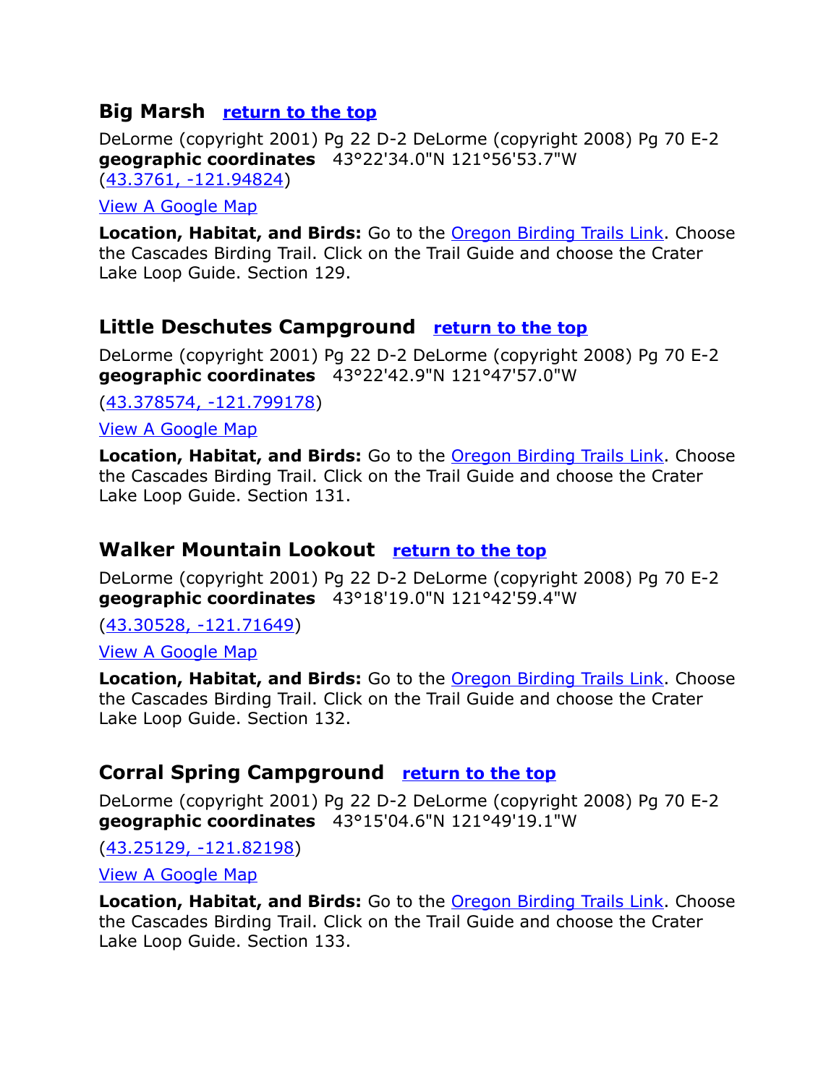### <span id="page-2-3"></span>**Big Marsh [return to the top](#page-0-0)**

DeLorme (copyright 2001) Pg 22 D-2 DeLorme (copyright 2008) Pg 70 E-2 **geographic coordinates** 43°22'34.0"N 121°56'53.7"W [\(43.3761, -121.94824\)](https://www.google.com/maps/place/43%C2%B022)

#### [View A Google Map](http://maps.google.com/maps/ms?hl=en&ie=UTF8&msa=0&ll=43.439957,-121.764221&spn=0.726909,1.608124&t=p&z=10&msid=108036481085398338899.00046d9de7d395a981091)

**Location, Habitat, and Birds:** Go to the **Oregon Birding Trails Link**. Choose the Cascades Birding Trail. Click on the Trail Guide and choose the Crater Lake Loop Guide. Section 129.

#### <span id="page-2-2"></span>**Little Deschutes Campground [return to the top](#page-0-0)**

DeLorme (copyright 2001) Pg 22 D-2 DeLorme (copyright 2008) Pg 70 E-2 **geographic coordinates** 43°22'42.9"N 121°47'57.0"W

[\(43.378574, -121.799178\)](https://www.google.com/maps/place/43%C2%B022)

[View A Google Map](http://maps.google.com/maps/ms?hl=en&ie=UTF8&msa=0&ll=43.439957,-121.764221&spn=0.726909,1.608124&t=p&z=10&msid=108036481085398338899.00046d9de7d395a981091)

**Location, Habitat, and Birds:** Go to the [Oregon Birding Trails Link.](http://www.oregonbirdingtrails.org/) Choose the Cascades Birding Trail. Click on the Trail Guide and choose the Crater Lake Loop Guide. Section 131.

### <span id="page-2-1"></span>**Walker Mountain Lookout [return to the top](#page-0-0)**

DeLorme (copyright 2001) Pg 22 D-2 DeLorme (copyright 2008) Pg 70 E-2 **geographic coordinates** 43°18'19.0"N 121°42'59.4"W

[\(43.30528, -121.71649\)](https://www.google.com/maps/place/43%C2%B018)

[View A Google Map](http://maps.google.com/maps/ms?hl=en&ie=UTF8&msa=0&ll=43.439957,-121.764221&spn=0.726909,1.608124&t=p&z=10&msid=108036481085398338899.00046d9de7d395a981091)

**Location, Habitat, and Birds:** Go to the [Oregon Birding Trails Link.](http://www.oregonbirdingtrails.org/) Choose the Cascades Birding Trail. Click on the Trail Guide and choose the Crater Lake Loop Guide. Section 132.

# <span id="page-2-0"></span>**Corral Spring Campground [return to the top](#page-0-0)**

DeLorme (copyright 2001) Pg 22 D-2 DeLorme (copyright 2008) Pg 70 E-2 **geographic coordinates** 43°15'04.6"N 121°49'19.1"W

[\(43.25129, -121.82198\)](https://www.google.com/maps/place/43%C2%B015)

[View A Google Map](http://maps.google.com/maps/ms?hl=en&ie=UTF8&msa=0&ll=43.439957,-121.764221&spn=0.726909,1.608124&t=p&z=10&msid=108036481085398338899.00046d9de7d395a981091)

**Location, Habitat, and Birds:** Go to the [Oregon Birding Trails Link.](http://www.oregonbirdingtrails.org/) Choose the Cascades Birding Trail. Click on the Trail Guide and choose the Crater Lake Loop Guide. Section 133.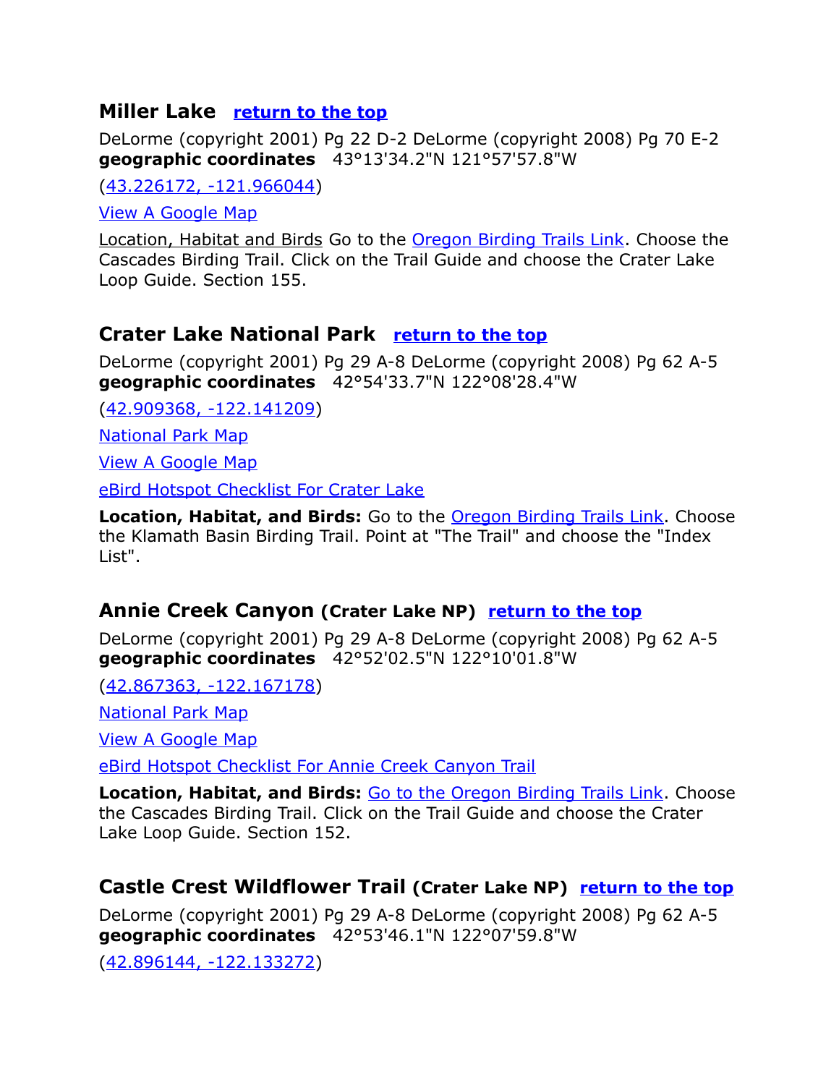# <span id="page-3-0"></span>**Miller Lake [return to the top](#page-0-0)**

DeLorme (copyright 2001) Pg 22 D-2 DeLorme (copyright 2008) Pg 70 E-2 **geographic coordinates** 43°13'34.2"N 121°57'57.8"W

[\(43.226172, -121.966044\)](https://www.google.com/maps/place/43%C2%B013)

[View A Google Map](http://maps.google.com/maps/ms?hl=en&ie=UTF8&msa=0&msid=108036481085398338899.00046d9ab5e1e88b40798&ll=43.058855,-121.350861&spn=0.787661,2.110748&z=10)

Location, Habitat and Birds Go to the [Oregon Birding Trails Link.](http://www.oregonbirdingtrails.org/) Choose the Cascades Birding Trail. Click on the Trail Guide and choose the Crater Lake Loop Guide. Section 155.

# **Crater Lake National Park [return to the top](#page-0-0)**

<span id="page-3-3"></span>DeLorme (copyright 2001) Pg 29 A-8 DeLorme (copyright 2008) Pg 62 A-5 **geographic coordinates** 42°54'33.7"N 122°08'28.4"W

[\(42.909368, -122.141209\)](https://www.google.com/maps/place/42%C2%B054)

[National Park Map](http://www.nps.gov/PWR/customcf/apps/maps/showmap.cfm?alphacode=crla&parkname=Crater%20Lake%20National%20Park)

[View A Google Map](http://maps.google.com/maps/ms?hl=en&ie=UTF8&msa=0&msid=108036481085398338899.00046d42fe5a46baeee06&ll=42.940842,-122.169342&spn=1.600488,4.22699&z=9)

[eBird Hotspot Checklist For Crater Lake](http://ebird.org/ebird/hotspot/L388198?yr=all&m=&rank=mrec)

**Location, Habitat, and Birds:** Go to the [Oregon Birding Trails Link.](http://www.oregonbirdingtrails.org/) Choose the Klamath Basin Birding Trail. Point at "The Trail" and choose the "Index List".

#### <span id="page-3-2"></span>**Annie Creek Canyon (Crater Lake NP) [return to the top](#page-0-0)**

DeLorme (copyright 2001) Pg 29 A-8 DeLorme (copyright 2008) Pg 62 A-5 **geographic coordinates** 42°52'02.5"N 122°10'01.8"W

[\(42.867363, -122.167178\)](https://www.google.com/maps/place/42%C2%B052)

[National Park Map](http://www.nps.gov/PWR/customcf/apps/maps/showmap.cfm?alphacode=crla&parkname=Crater%20Lake%20National%20Park)

[View A Google Map](http://maps.google.com/maps/ms?hl=en&ie=UTF8&msa=0&ll=42.811018,-122.040253&spn=0.395421,1.055374&z=11&msid=108036481085398338899.00046d9a139b147930467)

[eBird Hotspot Checklist For Annie Creek Canyon Trail](http://ebird.org/ebird/hotspot/L2249052?yr=all&m=&rank=mrec)

**Location, Habitat, and Birds:** [Go to the Oregon Birding Trails Link.](http://www.oregonbirdingtrails.org/) Choose the Cascades Birding Trail. Click on the Trail Guide and choose the Crater Lake Loop Guide. Section 152.

# <span id="page-3-1"></span>**Castle Crest Wildflower Trail (Crater Lake NP) [return to the top](#page-0-0)**

DeLorme (copyright 2001) Pg 29 A-8 DeLorme (copyright 2008) Pg 62 A-5 **geographic coordinates** 42°53'46.1"N 122°07'59.8"W

[\(42.896144, -122.133272\)](https://www.google.com/maps/place/42%C2%B053)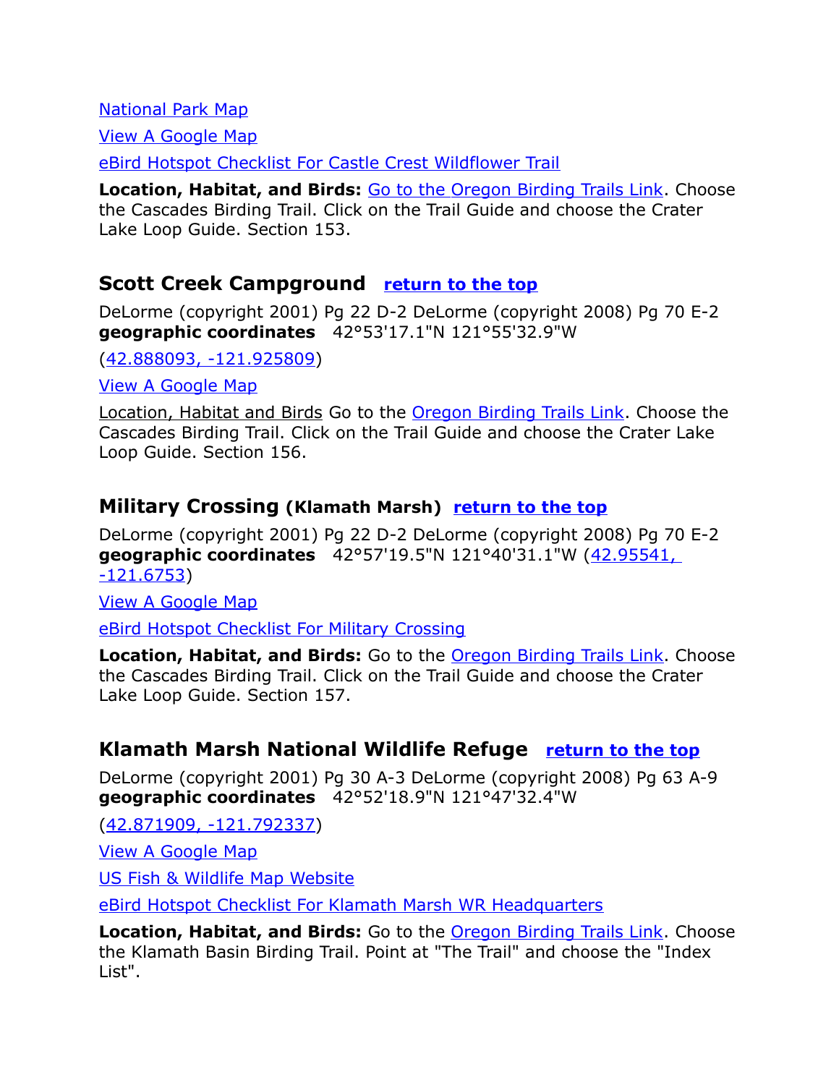[National Park Map](http://www.nps.gov/PWR/customcf/apps/maps/showmap.cfm?alphacode=crla&parkname=Crater%20Lake%20National%20Park)

[View A Google Map](http://maps.google.com/maps/ms?hl=en&ie=UTF8&msa=0&ll=42.811018,-122.040253&spn=0.395421,1.055374&z=11&msid=108036481085398338899.00046d9a139b147930467)

[eBird Hotspot Checklist For Castle Crest Wildflower Trail](http://ebird.org/ebird/hotspot/L965166?yr=all&m=&rank=mrec)

**Location, Habitat, and Birds:** [Go to the Oregon Birding Trails Link.](http://www.oregonbirdingtrails.org/) Choose the Cascades Birding Trail. Click on the Trail Guide and choose the Crater Lake Loop Guide. Section 153.

#### <span id="page-4-0"></span>**Scott Creek Campground [return to the top](#page-0-0)**

DeLorme (copyright 2001) Pg 22 D-2 DeLorme (copyright 2008) Pg 70 E-2 **geographic coordinates** 42°53'17.1"N 121°55'32.9"W

[\(42.888093, -121.925809\)](https://www.google.com/maps/place/42%C2%B053)

[View A Google Map](http://maps.google.com/maps/ms?hl=en&ie=UTF8&msa=0&msid=108036481085398338899.00046d9ab5e1e88b40798&ll=43.058855,-121.350861&spn=0.787661,2.110748&z=10)

Location, Habitat and Birds Go to the [Oregon Birding Trails Link.](http://www.oregonbirdingtrails.org/) Choose the Cascades Birding Trail. Click on the Trail Guide and choose the Crater Lake Loop Guide. Section 156.

#### <span id="page-4-1"></span>**Military Crossing (Klamath Marsh) [return to the top](#page-0-0)**

DeLorme (copyright 2001) Pg 22 D-2 DeLorme (copyright 2008) Pg 70 E-2 **geographic coordinates** 42°57'19.5"N 121°40'31.1"W [\(42.95541,](https://www.google.com/maps/place/42%C2%B057)  [-121.6753\)](https://www.google.com/maps/place/42%C2%B057)

[View A Google Map](http://maps.google.com/maps/ms?hl=en&ie=UTF8&msa=0&msid=108036481085398338899.00046d9ab5e1e88b40798&ll=43.058855,-121.350861&spn=0.787661,2.110748&z=10)

[eBird Hotspot Checklist For Military Crossing](http://ebird.org/ebird/hotspot/L2137476?yr=all&m=&rank=mrec)

**Location, Habitat, and Birds:** Go to the **Oregon Birding Trails Link**. Choose the Cascades Birding Trail. Click on the Trail Guide and choose the Crater Lake Loop Guide. Section 157.

#### **Klamath Marsh National Wildlife Refuge [return to the top](#page-0-0)**

DeLorme (copyright 2001) Pg 30 A-3 DeLorme (copyright 2008) Pg 63 A-9 **geographic coordinates** 42°52'18.9"N 121°47'32.4"W

[\(42.871909, -121.792337\)](https://www.google.com/maps/place/42%C2%B052)

[View A Google Map](http://maps.google.com/maps/ms?hl=en&ie=UTF8&msa=0&msid=108036481085398338899.00046d42fe5a46baeee06&ll=42.940842,-122.169342&spn=1.600488,4.22699&z=9)

[US Fish & Wildlife Map Website](http://www.fws.gov/refuge/Klamath_Marsh/map.html)

[eBird Hotspot Checklist For Klamath Marsh WR Headquarters](http://ebird.org/ebird/hotspot/L2221496?yr=all&m=&rank=mrec)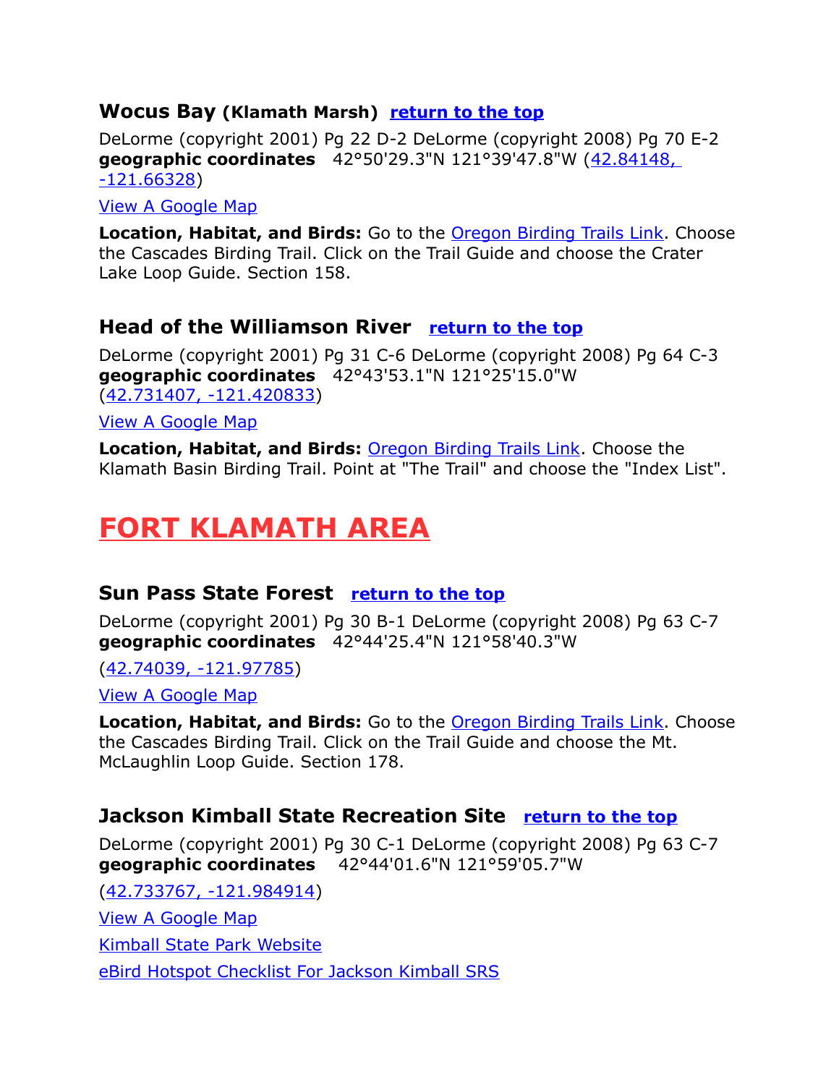#### <span id="page-5-4"></span>**Wocus Bay (Klamath Marsh) [return to the top](#page-0-0)**

DeLorme (copyright 2001) Pg 22 D-2 DeLorme (copyright 2008) Pg 70 E-2 **geographic coordinates** 42°50'29.3"N 121°39'47.8"W [\(42.84148,](https://www.google.com/maps/place/42%C2%B050)  [-121.66328\)](https://www.google.com/maps/place/42%C2%B050)

#### [View A Google Map](http://maps.google.com/maps/ms?hl=en&ie=UTF8&msa=0&msid=108036481085398338899.00046d9ab5e1e88b40798&ll=43.058855,-121.350861&spn=0.787661,2.110748&z=10)

**Location, Habitat, and Birds:** Go to the **Oregon Birding Trails Link**. Choose the Cascades Birding Trail. Click on the Trail Guide and choose the Crater Lake Loop Guide. Section 158.

#### <span id="page-5-3"></span>**Head of the Williamson River [return to the top](#page-0-0)**

DeLorme (copyright 2001) Pg 31 C-6 DeLorme (copyright 2008) Pg 64 C-3 **geographic coordinates** 42°43'53.1"N 121°25'15.0"W [\(42.731407, -121.420833\)](https://www.google.com/maps/place/42%C2%B043)

[View A Google Map](http://maps.google.com/maps/ms?hl=en&ie=UTF8&msa=0&ll=42.734499,-121.416607&spn=0.024744,0.065961&z=15&msid=108036481085398338899.00046d432c96efd7230fb)

**Location, Habitat, and Birds:** [Oregon Birding Trails Link.](http://www.oregonbirdingtrails.org/) Choose the Klamath Basin Birding Trail. Point at "The Trail" and choose the "Index List".

# <span id="page-5-2"></span>**FORT KLAMATH AREA**

#### <span id="page-5-1"></span>**Sun Pass State Forest [return to the top](#page-0-0)**

DeLorme (copyright 2001) Pg 30 B-1 DeLorme (copyright 2008) Pg 63 C-7 **geographic coordinates** 42°44'25.4"N 121°58'40.3"W

[\(42.74039, -121.97785\)](https://www.google.com/maps/place/42%C2%B044)

[View A Google Map](http://maps.google.com/maps/ms?hl=en&ie=UTF8&msa=0&ll=42.739952,-121.97618&spn=0.025499,0.065961&t=p&z=15&msid=108036481085398338899.00046da932c88f78bcd23)

**Location, Habitat, and Birds:** Go to the **Oregon Birding Trails Link**. Choose the Cascades Birding Trail. Click on the Trail Guide and choose the Mt. McLaughlin Loop Guide. Section 178.

#### <span id="page-5-0"></span>**Jackson Kimball State Recreation Site [return to the top](#page-0-0)**

DeLorme (copyright 2001) Pg 30 C-1 DeLorme (copyright 2008) Pg 63 C-7 **geographic coordinates** 42°44'01.6"N 121°59'05.7"W

[\(42.733767, -121.984914\)](https://www.google.com/maps/place/42%C2%B044) [View A Google Map](http://maps.google.com/maps/ms?hl=en&ie=UTF8&msa=0&ll=42.717255,-121.997509&spn=0.099005,0.263844&z=13&msid=108036481085398338899.00046d434444c04ad4671)  [Kimball State Park Website](http://www.oregonstateparks.org/park_229.php) [eBird Hotspot Checklist For Jackson Kimball SRS](file:///C:/Users/CGates/Documents/Bird%20Stuff/Wiki%20Page/Wiki2/Bird%20Finding%20Guide%20Draft%201/Paste%20Upgrade/eBird%20Hotspot%20Checklist%20For)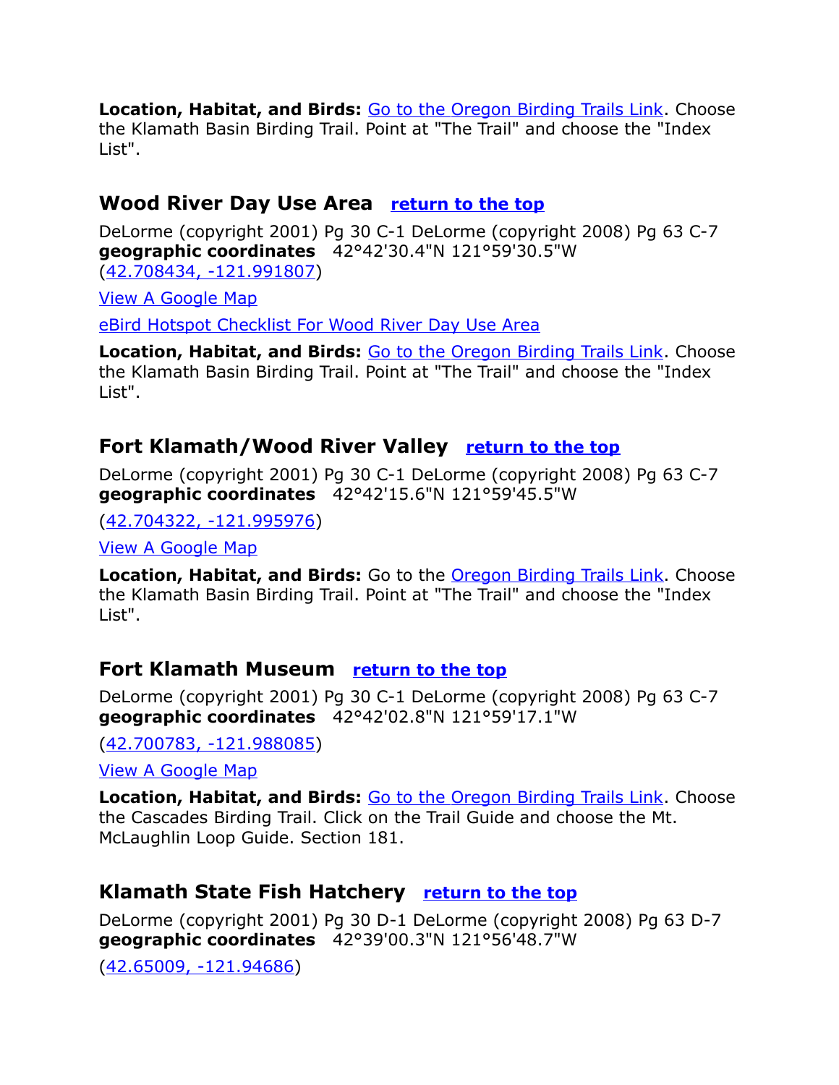**Location, Habitat, and Birds:** [Go to the Oregon Birding Trails Link.](http://www.oregonbirdingtrails.org/) Choose the Klamath Basin Birding Trail. Point at "The Trail" and choose the "Index List".

## <span id="page-6-0"></span>**Wood River Day Use Area [return to the top](#page-0-0)**

DeLorme (copyright 2001) Pg 30 C-1 DeLorme (copyright 2008) Pg 63 C-7 **geographic coordinates** 42°42'30.4"N 121°59'30.5"W [\(42.708434, -121.991807\)](https://www.google.com/maps/place/42%C2%B042)

[View A Google Map](http://maps.google.com/maps/ms?hl=en&ie=UTF8&msa=0&ll=42.717255,-121.997509&spn=0.099005,0.263844&z=13&msid=108036481085398338899.00046d434444c04ad4671)

[eBird Hotspot Checklist For Wood River Day Use Area](http://ebird.org/ebird/hotspot/L710366?yr=all&m=&rank=mrec)

**Location, Habitat, and Birds:** [Go to the Oregon Birding Trails Link.](http://www.oregonbirdingtrails.org/) Choose the Klamath Basin Birding Trail. Point at "The Trail" and choose the "Index List".

# <span id="page-6-2"></span>**Fort Klamath/Wood River Valley [return to the top](#page-0-0)**

DeLorme (copyright 2001) Pg 30 C-1 DeLorme (copyright 2008) Pg 63 C-7 **geographic coordinates** 42°42'15.6"N 121°59'45.5"W

[\(42.704322, -121.995976\)](https://www.google.com/maps/place/42%C2%B042)

[View A Google Map](http://maps.google.com/maps/ms?hl=en&ie=UTF8&msa=0&ll=42.717255,-121.997509&spn=0.099005,0.263844&z=13&msid=108036481085398338899.00046d434444c04ad4671)

**Location, Habitat, and Birds:** Go to the [Oregon Birding Trails Link.](http://www.oregonbirdingtrails.org/) Choose the Klamath Basin Birding Trail. Point at "The Trail" and choose the "Index List".

# **Fort Klamath Museum [return to the top](#page-0-0)**

DeLorme (copyright 2001) Pg 30 C-1 DeLorme (copyright 2008) Pg 63 C-7 **geographic coordinates** 42°42'02.8"N 121°59'17.1"W

[\(42.700783, -121.988085\)](https://www.google.com/maps/place/42%C2%B042)

[View A Google Map](http://maps.google.com/maps/ms?hl=en&ie=UTF8&msa=0&ll=42.705398,-121.921806&spn=0.204103,0.527687&t=p&z=12&msid=108036481085398338899.00046da9689ec91b746fe)

**Location, Habitat, and Birds:** [Go to the Oregon Birding Trails Link.](http://www.oregonbirdingtrails.org/) Choose the Cascades Birding Trail. Click on the Trail Guide and choose the Mt. McLaughlin Loop Guide. Section 181.

# <span id="page-6-1"></span>**Klamath State Fish Hatchery [return to the top](#page-0-0)**

DeLorme (copyright 2001) Pg 30 D-1 DeLorme (copyright 2008) Pg 63 D-7 **geographic coordinates** 42°39'00.3"N 121°56'48.7"W

[\(42.65009, -121.94686\)](https://www.google.com/maps/place/42%C2%B039)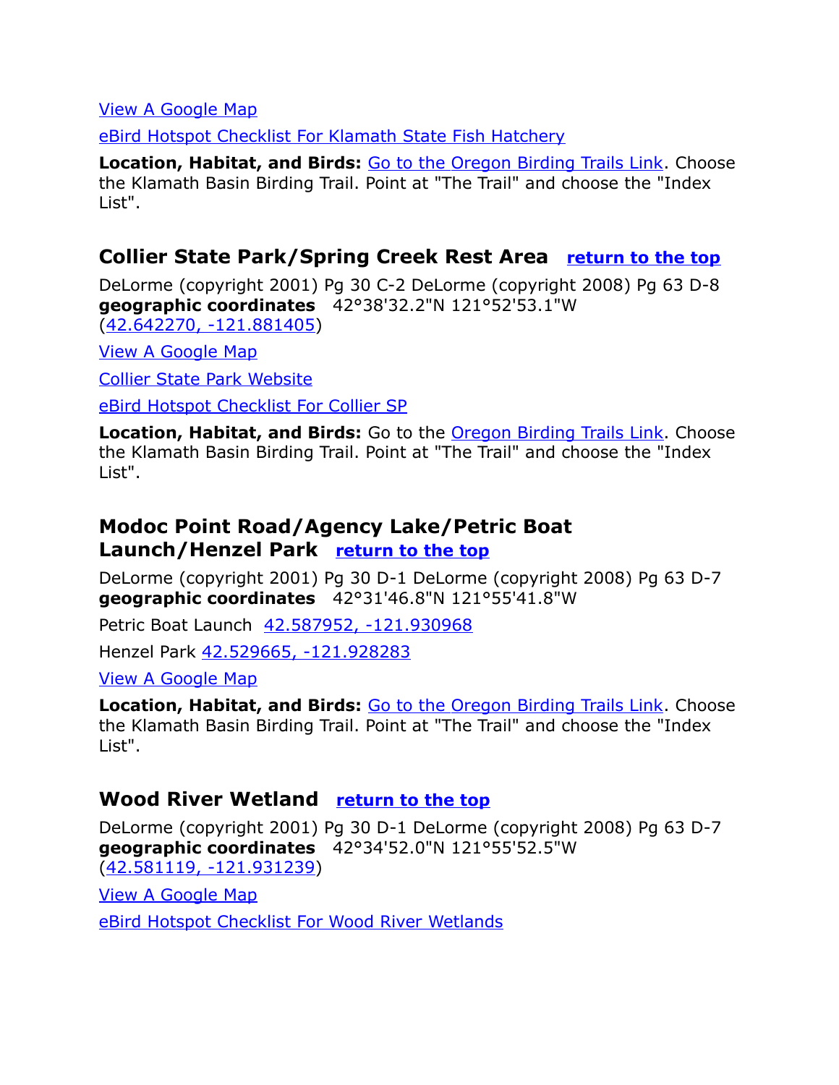[View A Google Map](http://maps.google.com/maps/ms?hl=en&ie=UTF8&msa=0&ll=42.587972,-121.919746&spn=0.198422,0.527687&z=12&msid=108036481085398338899.00046d438a6cd6cf91310)

[eBird Hotspot Checklist For Klamath State Fish Hatchery](http://ebird.org/ebird/hotspot/L1004181?yr=all&m=&rank=mrec)

**Location, Habitat, and Birds:** [Go to the Oregon Birding Trails Link.](http://www.oregonbirdingtrails.org/) Choose the Klamath Basin Birding Trail. Point at "The Trail" and choose the "Index List".

## <span id="page-7-1"></span>**Collier State Park/Spring Creek Rest Area [return to the top](#page-0-0)**

DeLorme (copyright 2001) Pg 30 C-2 DeLorme (copyright 2008) Pg 63 D-8 **geographic coordinates** 42°38'32.2"N 121°52'53.1"W [\(42.642270, -121.881405\)](https://www.google.com/maps/place/42%C2%B038)

[View A Google Map](http://maps.google.com/maps/ms?hl=en&ie=UTF8&msa=0&msid=108036481085398338899.00046d42fe5a46baeee06&ll=42.940842,-122.169342&spn=1.600488,4.22699&z=9) 

[Collier State Park Website](http://www.oregonstateparks.org/park_228.php)

[eBird Hotspot Checklist For Collier SP](http://ebird.org/ebird/hotspot/L925177?yr=all&m=&rank=mrec)

**Location, Habitat, and Birds:** Go to the **Oregon Birding Trails Link**. Choose the Klamath Basin Birding Trail. Point at "The Trail" and choose the "Index List".

# <span id="page-7-0"></span>**Modoc Point Road/Agency Lake/Petric Boat Launch/Henzel Park [return to the top](#page-0-0)**

DeLorme (copyright 2001) Pg 30 D-1 DeLorme (copyright 2008) Pg 63 D-7 **geographic coordinates** 42°31'46.8"N 121°55'41.8"W

Petric Boat Launch [42.587952, -121.930968](https://www.google.com/maps/place/42%C2%B035)

Henzel Park [42.529665, -121.928283](https://www.google.com/maps/place/42%C2%B031)

#### [View A Google Map](http://maps.google.com/maps/ms?hl=en&ie=UTF8&msa=0&ll=42.587972,-121.919746&spn=0.198422,0.527687&z=12&msid=108036481085398338899.00046d438a6cd6cf91310)

**Location, Habitat, and Birds:** [Go to the Oregon Birding Trails Link.](http://www.oregonbirdingtrails.org/) Choose the Klamath Basin Birding Trail. Point at "The Trail" and choose the "Index List".

#### **Wood River Wetland [return to the top](#page-0-0)**

DeLorme (copyright 2001) Pg 30 D-1 DeLorme (copyright 2008) Pg 63 D-7 **geographic coordinates** 42°34'52.0"N 121°55'52.5"W [\(42.581119, -121.931239\)](https://www.google.com/maps/place/42%C2%B034)

[View A Google Map](http://maps.google.com/maps/ms?hl=en&ie=UTF8&msa=0&ll=42.587972,-121.919746&spn=0.198422,0.527687&z=12&msid=108036481085398338899.00046d438a6cd6cf91310)

[eBird Hotspot Checklist For Wood River Wetlands](http://ebird.org/ebird/hotspot/L686411?yr=all&m=&rank=mrec)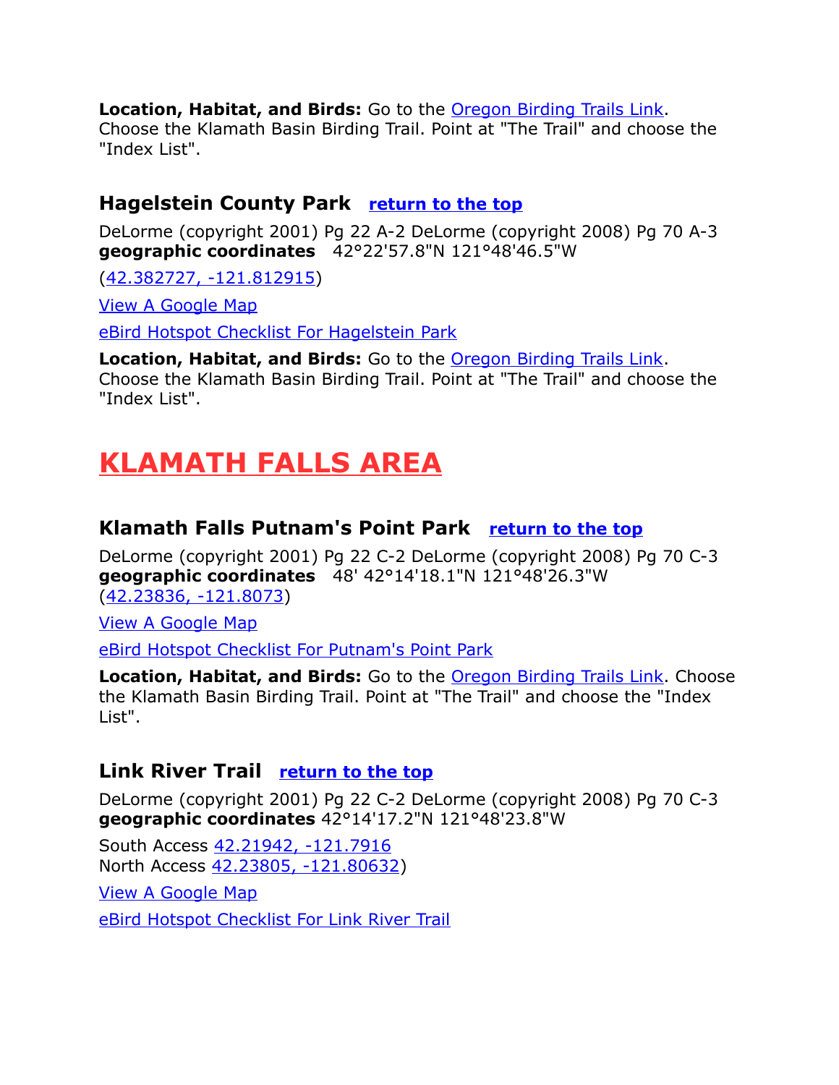#### **Location, Habitat, and Birds:** Go to the [Oregon Birding Trails Link.](http://www.oregonbirdingtrails.org/)

Choose the Klamath Basin Birding Trail. Point at "The Trail" and choose the "Index List".

#### **Hagelstein County Park [return to the top](#page-0-0)**

DeLorme (copyright 2001) Pg 22 A-2 DeLorme (copyright 2008) Pg 70 A-3 **geographic coordinates** 42°22'57.8"N 121°48'46.5"W

[\(42.382727, -121.812915\)](https://www.google.com/maps/place/42%C2%B022)

[View A Google Map](http://maps.google.com/maps/ms?hl=en&ie=UTF8&msa=0&ll=42.378012,-121.810741&spn=0.049772,0.131922&z=14&msid=108036481085398338899.00046d43dfab4b7c0172f)

[eBird Hotspot Checklist For Hagelstein Park](http://ebird.org/ebird/hotspot/L613432?yr=all&m=&rank=mrec)

**Location, Habitat, and Birds:** Go to the [Oregon Birding Trails Link.](http://www.oregonbirdingtrails.org/) Choose the Klamath Basin Birding Trail. Point at "The Trail" and choose the "Index List".

# <span id="page-8-2"></span>**KLAMATH FALLS AREA**

## <span id="page-8-1"></span>**Klamath Falls Putnam's Point Park [return to the top](#page-0-0)**

DeLorme (copyright 2001) Pg 22 C-2 DeLorme (copyright 2008) Pg 70 C-3 **geographic coordinates** 48' 42°14'18.1"N 121°48'26.3"W [\(42.23836, -121.8073\)](https://www.google.com/maps/place/42%C2%B014)

[View A Google Map](http://maps.google.com/maps/ms?hl=en&ie=UTF8&msa=0&msid=108036481085398338899.00046d486e0fcc0d4275c&ll=42.23036,-121.794648&spn=0.054592,0.13175&z=14)

[eBird Hotspot Checklist For Putnam's Point Park](http://ebird.org/ebird/hotspot/L607928?yr=all&m=&rank=mrec)

**Location, Habitat, and Birds:** Go to the **Oregon Birding Trails Link**. Choose the Klamath Basin Birding Trail. Point at "The Trail" and choose the "Index List".

# <span id="page-8-0"></span>**Link River Trail [return to the top](#page-0-0)**

DeLorme (copyright 2001) Pg 22 C-2 DeLorme (copyright 2008) Pg 70 C-3 **geographic coordinates** 42°14'17.2"N 121°48'23.8"W

South Access 42.21942, -121.7916 North Access [42.23805, -121.80632\)](https://www.google.com/maps/place/42%C2%B014)

[View A Google Map](http://maps.google.com/maps/ms?hl=en&ie=UTF8&msa=0&msid=108036481085398338899.00046d486e0fcc0d4275c&ll=42.23036,-121.794648&spn=0.054592,0.13175&z=14) [eBird Hotspot Checklist For Link River Trail](http://ebird.org/ebird/hotspot/L526709?yr=all&m=&rank=mrec)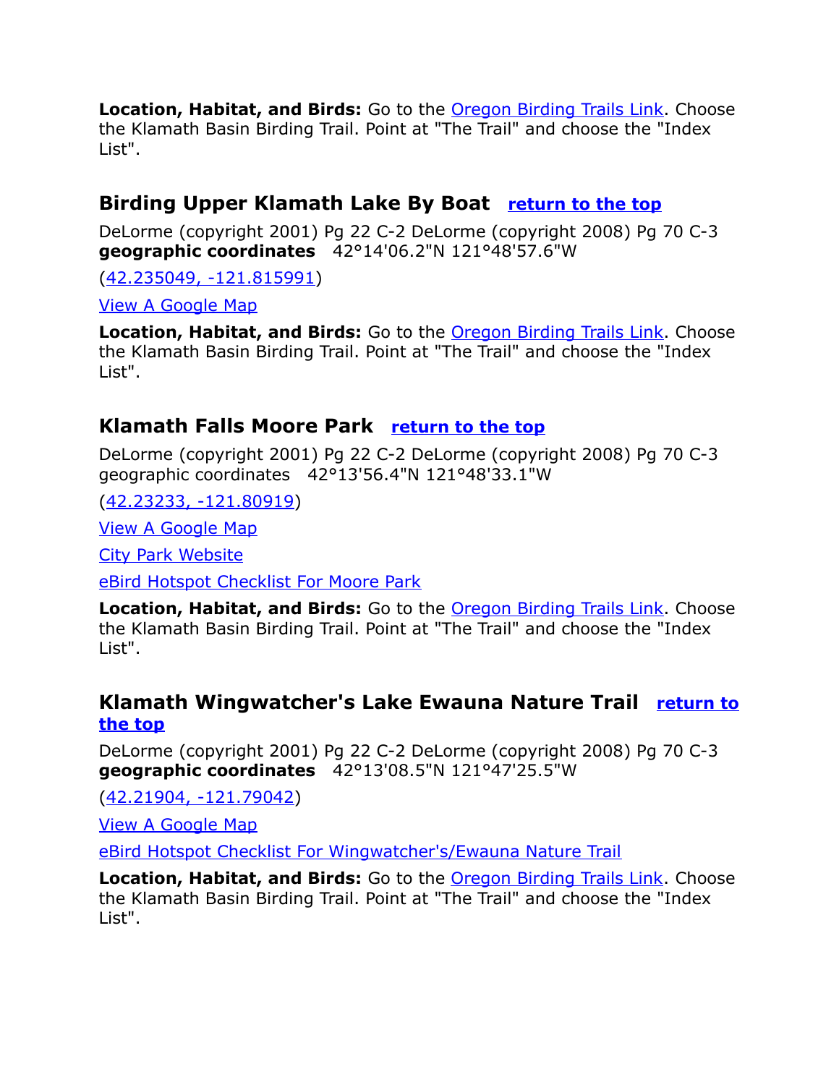**Location, Habitat, and Birds:** Go to the [Oregon Birding Trails Link.](http://www.oregonbirdingtrails.org/) Choose the Klamath Basin Birding Trail. Point at "The Trail" and choose the "Index List".

# <span id="page-9-2"></span>**Birding Upper Klamath Lake By Boat [return to the top](#page-0-0)**

DeLorme (copyright 2001) Pg 22 C-2 DeLorme (copyright 2008) Pg 70 C-3 **geographic coordinates** 42°14'06.2"N 121°48'57.6"W

[\(42.235049, -121.815991\)](https://www.google.com/maps/place/42%C2%B014)

[View A Google Map](http://maps.google.com/maps/ms?hl=en&ie=UTF8&msa=0&msid=108036481085398338899.00046d486e0fcc0d4275c&ll=42.23036,-121.794648&spn=0.054592,0.13175&z=14)

**Location, Habitat, and Birds:** Go to the [Oregon Birding Trails Link.](http://www.oregonbirdingtrails.org/) Choose the Klamath Basin Birding Trail. Point at "The Trail" and choose the "Index List".

## <span id="page-9-1"></span>**Klamath Falls Moore Park [return to the top](#page-0-0)**

DeLorme (copyright 2001) Pg 22 C-2 DeLorme (copyright 2008) Pg 70 C-3 geographic coordinates 42°13'56.4"N 121°48'33.1"W

[\(42.23233, -121.80919\)](https://www.google.com/maps/place/42%C2%B013)

[View A Google Map](http://maps.google.com/maps/ms?hl=en&ie=UTF8&msa=0&msid=108036481085398338899.00046d486e0fcc0d4275c&ll=42.23036,-121.794648&spn=0.054592,0.13175&z=14)

[City Park Website](http://www.ci.klamath-falls.or.us/visitors/parks)

[eBird Hotspot Checklist For Moore Park](http://ebird.org/ebird/hotspot/L613422?yr=all&m=&rank=mrec)

Location, Habitat, and Birds: Go to the **Oregon Birding Trails Link**. Choose the Klamath Basin Birding Trail. Point at "The Trail" and choose the "Index List".

#### <span id="page-9-0"></span>**Klamath Wingwatcher's Lake Ewauna Nature Trail [return to](#page-0-0) [the top](#page-0-0)**

DeLorme (copyright 2001) Pg 22 C-2 DeLorme (copyright 2008) Pg 70 C-3 **geographic coordinates** 42°13'08.5"N 121°47'25.5"W

[\(42.21904, -121.79042\)](https://www.google.com/maps/place/42%C2%B013)

[View A Google Map](http://maps.google.com/maps/ms?hl=en&ie=UTF8&msa=0&msid=108036481085398338899.00046d48cfc6eb05eb2c2&ll=42.218364,-121.789455&spn=0.012475,0.03298&z=16)

[eBird Hotspot Checklist For Wingwatcher's/Ewauna Nature Trail](http://ebird.org/ebird/hotspot/L603615?yr=all&m=&rank=mrec)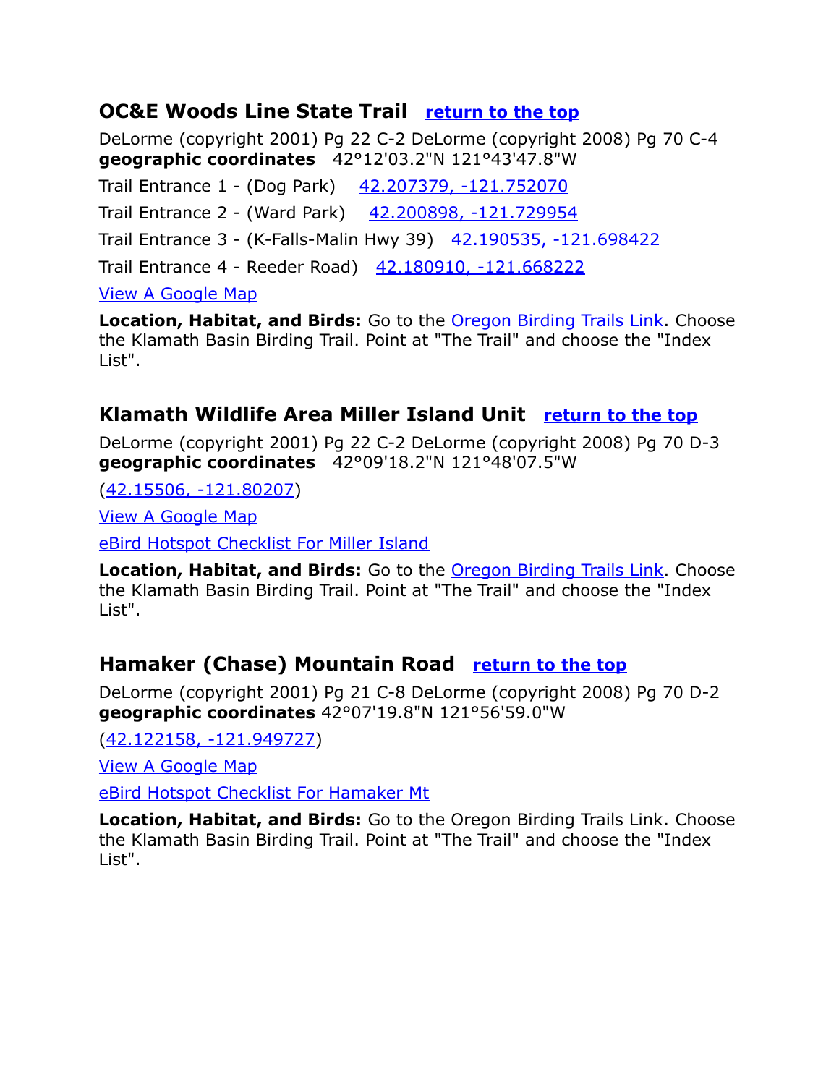# <span id="page-10-1"></span>**OC&E Woods Line State Trail [return to the top](#page-0-0)**

DeLorme (copyright 2001) Pg 22 C-2 DeLorme (copyright 2008) Pg 70 C-4 **geographic coordinates** 42°12'03.2"N 121°43'47.8"W

Trail Entrance 1 - (Dog Park) [42.207379, -121.752070](https://www.google.com/maps/place/42%C2%B012)

Trail Entrance 2 - (Ward Park) [42.200898, -121.729954](https://www.google.com/maps/place/42%C2%B012)

Trail Entrance 3 - (K-Falls-Malin Hwy 39) [42.190535, -121.698422](https://www.google.com/maps/place/42%C2%B011)

Trail Entrance 4 - Reeder Road) [42.180910, -121.668222](https://www.google.com/maps/place/42%C2%B010)

[View A Google Map](http://maps.google.com/maps/ms?hl=en&ie=UTF8&msa=0&ll=42.193425,-121.710491&spn=0.079106,0.171318&z=13&msid=108036481085398338899.00046d48eb2967c0553ee)

**Location, Habitat, and Birds:** Go to the **Oregon Birding Trails Link**. Choose the Klamath Basin Birding Trail. Point at "The Trail" and choose the "Index List".

# **Klamath Wildlife Area Miller Island Unit [return to the top](#page-0-0)**

DeLorme (copyright 2001) Pg 22 C-2 DeLorme (copyright 2008) Pg 70 D-3 **geographic coordinates** 42°09'18.2"N 121°48'07.5"W

[\(42.15506, -121.80207\)](https://www.google.com/maps/place/42%C2%B009)

[View A Google Map](http://maps.google.com/maps/ms?hl=en&ie=UTF8&msa=0&ll=42.159968,-121.794434&spn=0.039574,0.085659&z=14&msid=108036481085398338899.00046d49165c4169c6e32)

[eBird Hotspot Checklist For Miller Island](http://ebird.org/ebird/hotspot/L613438?yr=all&m=&rank=mrec)

**Location, Habitat, and Birds:** Go to the **Oregon Birding Trails Link**. Choose the Klamath Basin Birding Trail. Point at "The Trail" and choose the "Index List".

# <span id="page-10-0"></span>**Hamaker (Chase) Mountain Road [return to the top](#page-0-0)**

DeLorme (copyright 2001) Pg 21 C-8 DeLorme (copyright 2008) Pg 70 D-2 **geographic coordinates** 42°07'19.8"N 121°56'59.0"W

[\(42.122158, -121.949727\)](https://www.google.com/maps/place/42%C2%B007)

[View A Google Map](http://maps.google.com/maps/ms?hl=en&ie=UTF8&msa=0&msid=108036481085398338899.00046d44bf9ec9f63688c&ll=42.130439,-122.001114&spn=0.405348,1.056747&z=11)

[eBird Hotspot Checklist For Hamaker Mt](http://ebird.org/ebird/hotspot/L1188716?yr=all&m=&rank=mrec)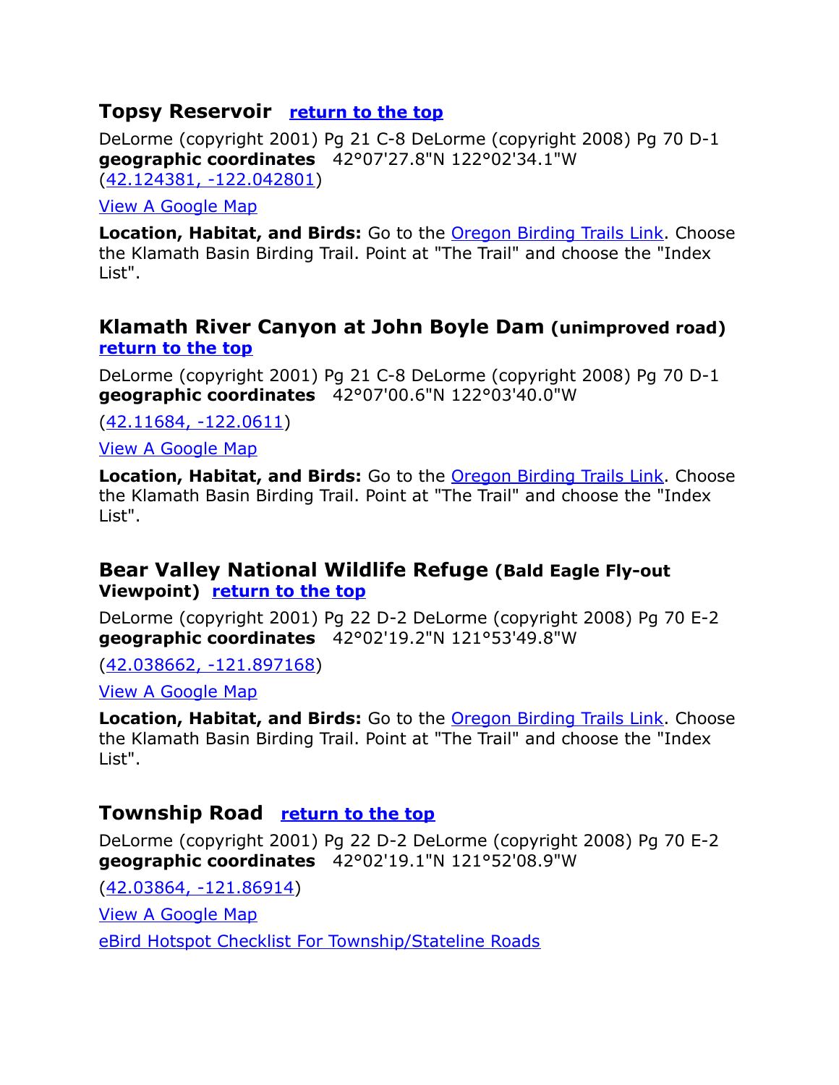#### <span id="page-11-3"></span>**Topsy Reservoir [return to the top](#page-0-0)**

DeLorme (copyright 2001) Pg 21 C-8 DeLorme (copyright 2008) Pg 70 D-1 **geographic coordinates** 42°07'27.8"N 122°02'34.1"W [\(42.124381, -122.042801\)](https://www.google.com/maps/place/42%C2%B007)

#### [View A Google Map](http://maps.google.com/maps/ms?hl=en&ie=UTF8&msa=0&msid=108036481085398338899.00046d44bf9ec9f63688c&ll=42.130439,-122.001114&spn=0.405348,1.056747&z=11)

**Location, Habitat, and Birds:** Go to the **Oregon Birding Trails Link**. Choose the Klamath Basin Birding Trail. Point at "The Trail" and choose the "Index List".

#### <span id="page-11-2"></span>**Klamath River Canyon at John Boyle Dam (unimproved road) [return to the top](#page-0-0)**

DeLorme (copyright 2001) Pg 21 C-8 DeLorme (copyright 2008) Pg 70 D-1 **geographic coordinates** 42°07'00.6"N 122°03'40.0"W

[\(42.11684, -122.0611\)](https://www.google.com/maps/place/42%C2%B007)

[View A Google Map](http://maps.google.com/maps/ms?hl=en&ie=UTF8&msa=0&msid=108036481085398338899.00046d44bf9ec9f63688c&ll=42.130439,-122.001114&spn=0.405348,1.056747&z=11)

**Location, Habitat, and Birds:** Go to the [Oregon Birding Trails Link.](http://www.oregonbirdingtrails.org/) Choose the Klamath Basin Birding Trail. Point at "The Trail" and choose the "Index List".

#### <span id="page-11-1"></span>**Bear Valley National Wildlife Refuge (Bald Eagle Fly-out Viewpoint) [return to the top](#page-0-0)**

DeLorme (copyright 2001) Pg 22 D-2 DeLorme (copyright 2008) Pg 70 E-2 **geographic coordinates** 42°02'19.2"N 121°53'49.8"W

[\(42.038662, -121.897168\)](https://www.google.com/maps/place/42%C2%B002)

[View A Google Map](http://maps.google.com/maps/ms?hl=en&ie=UTF8&msa=0&ll=42.035397,-121.849194&spn=0.079304,0.171318&z=13&msid=108036481085398338899.00046d492a6dc54f42d71)

**Location, Habitat, and Birds:** Go to the [Oregon Birding Trails Link.](http://www.oregonbirdingtrails.org/) Choose the Klamath Basin Birding Trail. Point at "The Trail" and choose the "Index List".

# <span id="page-11-0"></span>**Township Road [return to the top](#page-0-0)**

DeLorme (copyright 2001) Pg 22 D-2 DeLorme (copyright 2008) Pg 70 E-2 **geographic coordinates** 42°02'19.1"N 121°52'08.9"W

[\(42.03864, -121.86914\)](https://www.google.com/maps/place/42%C2%B002)

[View A Google Map](http://maps.google.com/maps/ms?hl=en&ie=UTF8&msa=0&ll=42.035397,-121.849194&spn=0.079304,0.171318&z=13&msid=108036481085398338899.00046d492a6dc54f42d71)

[eBird Hotspot Checklist For Township/Stateline Roads](http://ebird.org/ebird/hotspot/L616065?yr=all&m=&rank=mrec)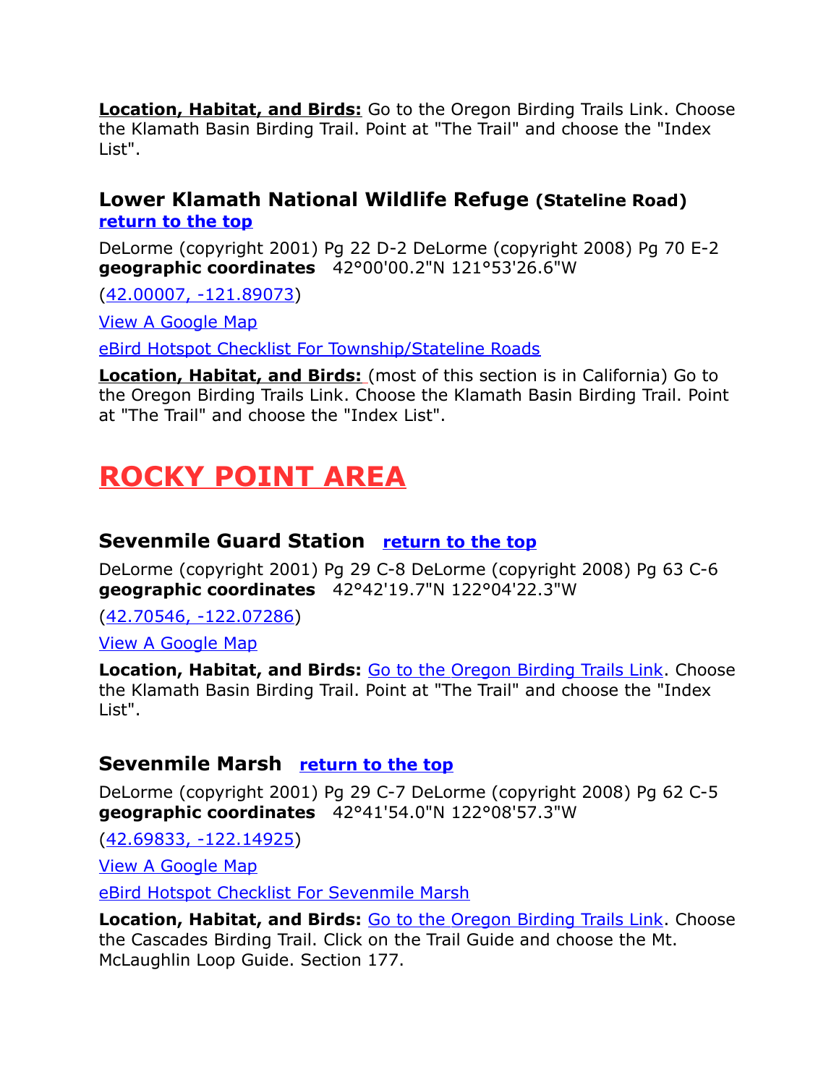**Location, Habitat, and Birds:** Go to the [Oregon Birding Trails Link.](http://www.oregonbirdingtrails.org/) Choose the Klamath Basin Birding Trail. Point at "The Trail" and choose the "Index List".

#### **Lower Klamath National Wildlife Refuge (Stateline Road) [return to the top](#page-0-0)**

DeLorme (copyright 2001) Pg 22 D-2 DeLorme (copyright 2008) Pg 70 E-2 **geographic coordinates** 42°00'00.2"N 121°53'26.6"W

[\(42.00007, -121.89073\)](https://www.google.com/maps/place/42%C2%B000)

[View A Google Map](http://maps.google.com/maps/ms?hl=en&ie=UTF8&msa=0&ll=41.999305,-121.862411&spn=0.100143,0.263844&z=13&msid=108036481085398338899.00046d499156e044dda18)

[eBird Hotspot Checklist For Township/Stateline Roads](http://ebird.org/ebird/hotspot/L616065?yr=all&m=&rank=mrec)

 **Location, Habitat, and Birds:** (most of this section is in California) Go to the [Oregon Birding Trails Link.](http://www.oregonbirdingtrails.org/) Choose the Klamath Basin Birding Trail. Point at "The Trail" and choose the "Index List".

# <span id="page-12-1"></span>**ROCKY POINT AREA**

# **Sevenmile Guard Station [return to the top](#page-0-0)**

DeLorme (copyright 2001) Pg 29 C-8 DeLorme (copyright 2008) Pg 63 C-6 **geographic coordinates** 42°42'19.7"N 122°04'22.3"W

[\(42.70546, -122.07286\)](https://www.google.com/maps/place/42%C2%B042)

[View A Google Map](http://maps.google.com/maps/ms?hl=en&ie=UTF8&msa=0&ll=42.717255,-121.997509&spn=0.099005,0.263844&z=13&msid=108036481085398338899.00046d434444c04ad4671)

**Location, Habitat, and Birds: [Go to the Oregon Birding Trails Link.](http://www.oregonbirdingtrails.org/) Choose** the Klamath Basin Birding Trail. Point at "The Trail" and choose the "Index List".

# <span id="page-12-0"></span>**Sevenmile Marsh [return to the top](#page-0-0)**

DeLorme (copyright 2001) Pg 29 C-7 DeLorme (copyright 2008) Pg 62 C-5 **geographic coordinates** 42°41'54.0"N 122°08'57.3"W

[\(42.69833, -122.14925\)](https://www.google.com/maps/place/42%C2%B041)

[View A Google Map](http://maps.google.com/maps/ms?hl=en&ie=UTF8&msa=0&msid=108036481085398338899.00046da8fd7bad4f84cba&ll=42.64002,-121.943436&spn=0.408635,1.055374&t=p&z=11)

[eBird Hotspot Checklist For Sevenmile Marsh](http://ebird.org/ebird/hotspot/L1546927?yr=all&m=&rank=mrec)

**Location, Habitat, and Birds:** [Go to the Oregon Birding Trails Link.](http://www.oregonbirdingtrails.org/) Choose the Cascades Birding Trail. Click on the Trail Guide and choose the Mt. McLaughlin Loop Guide. Section 177.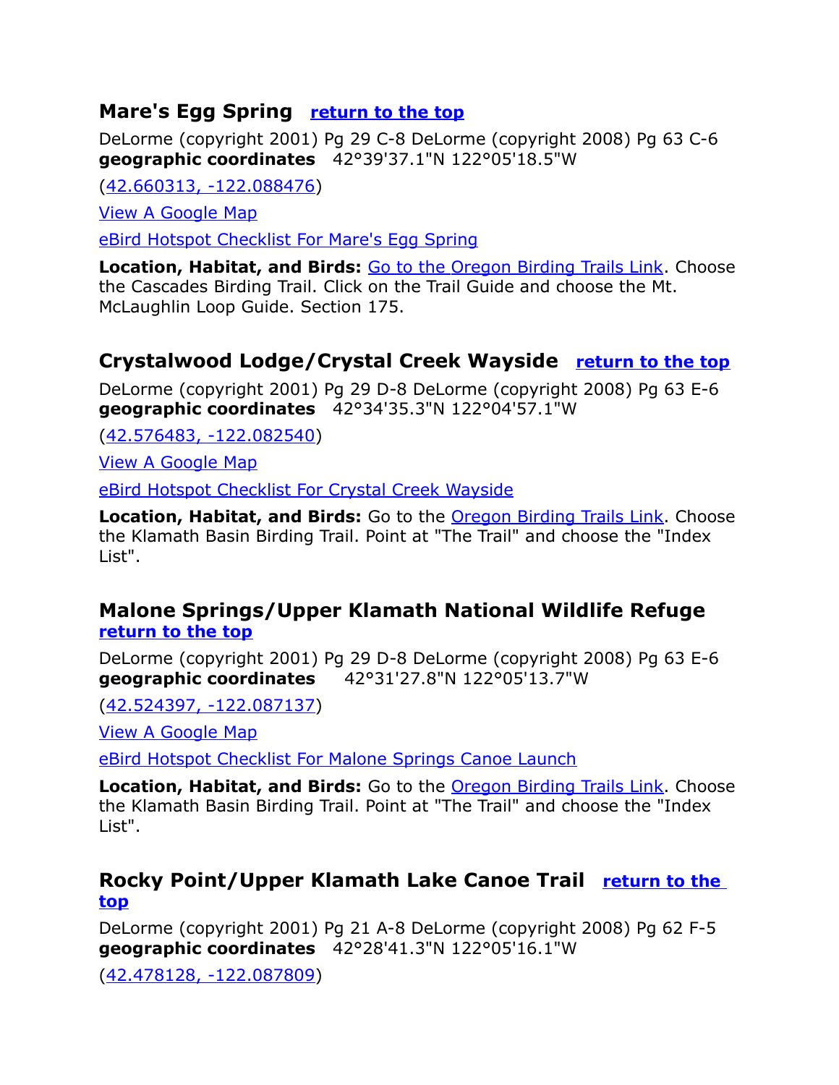# **Mare's Egg Spring [return to the top](#page-0-0)**

DeLorme (copyright 2001) Pg 29 C-8 DeLorme (copyright 2008) Pg 63 C-6 **geographic coordinates** 42°39'37.1"N 122°05'18.5"W

[\(42.660313, -122.088476\)](https://www.google.com/maps/place/42%C2%B039)

[View A Google Map](http://maps.google.com/maps/ms?hl=en&ie=UTF8&msa=0&msid=108036481085398338899.00046da8fd7bad4f84cba&ll=42.64002,-121.943436&spn=0.408635,1.055374&t=p&z=11)

[eBird Hotspot Checklist For Mare's Egg Spring](file:///C:/Users/CGates/Documents/Bird%20Stuff/Wiki%20Page/Wiki2/Bird%20Finding%20Guide%20Draft%201/Paste%20Upgrade/eBird%20Hotspot%20Checklist%20For)

**Location, Habitat, and Birds:** [Go to the Oregon Birding Trails Link.](http://www.oregonbirdingtrails.org/) Choose the Cascades Birding Trail. Click on the Trail Guide and choose the Mt. McLaughlin Loop Guide. Section 175.

# <span id="page-13-2"></span>**Crystalwood Lodge/Crystal Creek Wayside [return to the top](#page-0-0)**

DeLorme (copyright 2001) Pg 29 D-8 DeLorme (copyright 2008) Pg 63 E-6 **geographic coordinates** 42°34'35.3"N 122°04'57.1"W

[\(42.576483, -122.082540\)](https://www.google.com/maps/place/42%C2%B034)

[View A Google Map](http://maps.google.com/maps/ms?hl=en&ie=UTF8&msa=0&ll=42.517663,-122.047806&spn=0.198646,0.527687&z=12&msid=108036481085398338899.00046d43e88b1968fbc98)

[eBird Hotspot Checklist For Crystal Creek Wayside](http://ebird.org/ebird/hotspot/L1149146?yr=all&m=&rank=mrec)

**Location, Habitat, and Birds:** Go to the [Oregon Birding Trails Link.](http://www.oregonbirdingtrails.org/) Choose the Klamath Basin Birding Trail. Point at "The Trail" and choose the "Index List".

## <span id="page-13-1"></span>**Malone Springs/Upper Klamath National Wildlife Refuge [return to the top](#page-0-0)**

DeLorme (copyright 2001) Pg 29 D-8 DeLorme (copyright 2008) Pg 63 E-6 **geographic coordinates** 42°31'27.8"N 122°05'13.7"W

[\(42.524397, -122.087137\)](https://www.google.com/maps/place/42%C2%B031)

[View A Google Map](http://maps.google.com/maps/ms?hl=en&ie=UTF8&msa=0&ll=42.517663,-122.047806&spn=0.198646,0.527687&z=12&msid=108036481085398338899.00046d43e88b1968fbc98)

[eBird Hotspot Checklist For Malone Springs Canoe Launch](http://ebird.org/ebird/hotspot/L723388?yr=all&m=&rank=mrec)

**Location, Habitat, and Birds:** Go to the **Oregon Birding Trails Link.** Choose the Klamath Basin Birding Trail. Point at "The Trail" and choose the "Index List".

# <span id="page-13-0"></span>**Rocky Point/Upper Klamath Lake Canoe Trail [return to the](#page-0-0)  [top](#page-0-0)**

DeLorme (copyright 2001) Pg 21 A-8 DeLorme (copyright 2008) Pg 62 F-5 **geographic coordinates** 42°28'41.3"N 122°05'16.1"W

[\(42.478128, -122.087809\)](https://www.google.com/maps/place/42%C2%B028)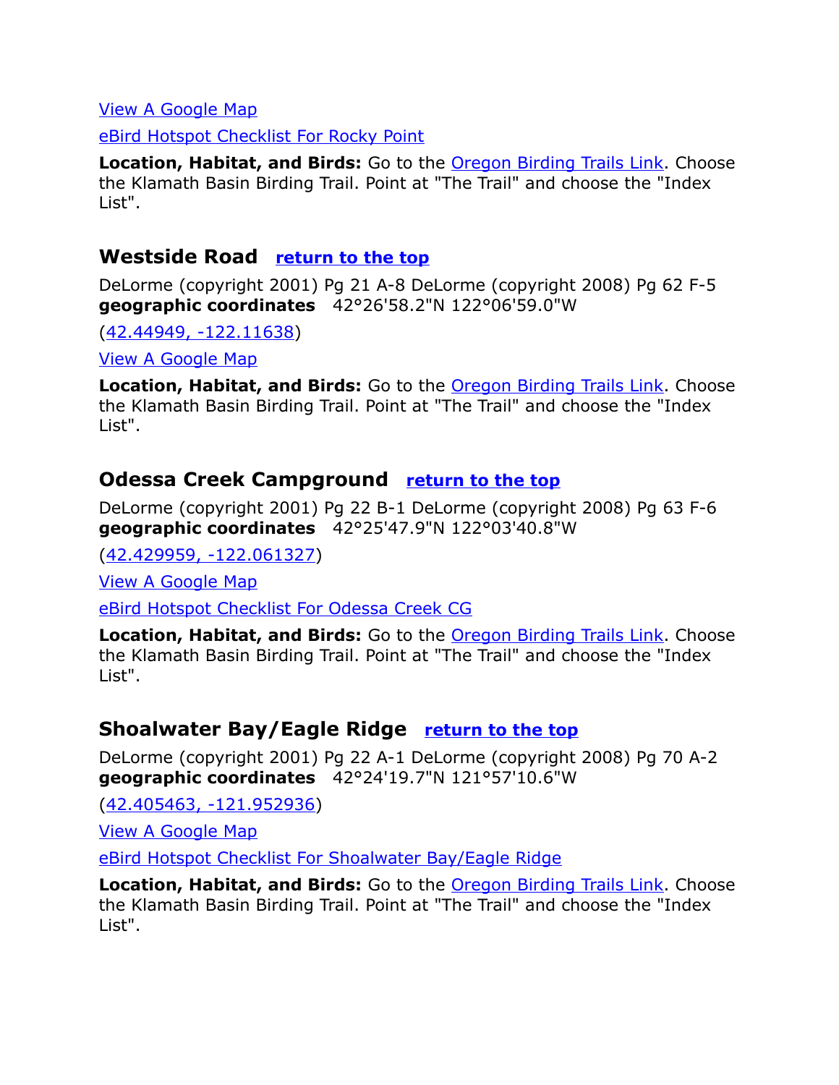#### [View A Google Map](http://maps.google.com/maps/ms?hl=en&ie=UTF8&msa=0&ll=42.517663,-122.047806&spn=0.198646,0.527687&z=12&msid=108036481085398338899.00046d43e88b1968fbc98)

[eBird Hotspot Checklist For Rocky Point](http://ebird.org/ebird/hotspot/L572639?yr=all&m=&rank=mrec)

**Location, Habitat, and Birds:** Go to the [Oregon Birding Trails Link.](http://www.oregonbirdingtrails.org/) Choose the Klamath Basin Birding Trail. Point at "The Trail" and choose the "Index List".

#### **Westside Road [return to the top](#page-0-0)**

DeLorme (copyright 2001) Pg 21 A-8 DeLorme (copyright 2008) Pg 62 F-5 **geographic coordinates** 42°26'58.2"N 122°06'59.0"W

[\(42.44949, -122.11638\)](https://www.google.com/maps/place/42%C2%B026)

[View A Google Map](http://maps.google.com/maps/ms?hl=en&ie=UTF8&msa=0&ll=42.517663,-122.047806&spn=0.198646,0.527687&z=12&msid=108036481085398338899.00046d43e88b1968fbc98)

**Location, Habitat, and Birds:** Go to the [Oregon Birding Trails Link.](http://www.oregonbirdingtrails.org/) Choose the Klamath Basin Birding Trail. Point at "The Trail" and choose the "Index List".

#### <span id="page-14-1"></span>**Odessa Creek Campground [return to the top](#page-0-0)**

DeLorme (copyright 2001) Pg 22 B-1 DeLorme (copyright 2008) Pg 63 F-6 **geographic coordinates** 42°25'47.9"N 122°03'40.8"W

[\(42.429959, -122.061327\)](https://www.google.com/maps/place/42%C2%B025)

[View A Google Map](http://maps.google.com/maps/ms?hl=en&ie=UTF8&msa=0&ll=42.379344,-121.880608&spn=0.199085,0.527687&z=12&msid=108036481085398338899.00046d484b94f81fc519a)

[eBird Hotspot Checklist For Odessa Creek CG](http://ebird.org/ebird/hotspot/L1602046?yr=all&m=&rank=mrec)

**Location, Habitat, and Birds:** Go to the [Oregon Birding Trails Link.](http://www.oregonbirdingtrails.org/) Choose the Klamath Basin Birding Trail. Point at "The Trail" and choose the "Index List".

#### <span id="page-14-0"></span>**Shoalwater Bay/Eagle Ridge [return to the top](#page-0-0)**

DeLorme (copyright 2001) Pg 22 A-1 DeLorme (copyright 2008) Pg 70 A-2 **geographic coordinates** 42°24'19.7"N 121°57'10.6"W

[\(42.405463, -121.952936\)](https://www.google.com/maps/place/42%C2%B024)

[View A Google Map](http://maps.google.com/maps/ms?hl=en&ie=UTF8&msa=0&ll=42.379344,-121.880608&spn=0.199085,0.527687&z=12&msid=108036481085398338899.00046d484b94f81fc519a)

[eBird Hotspot Checklist For Shoalwater Bay/Eagle Ridge](http://ebird.org/ebird/hotspot/L565301?yr=all&m=&rank=mrec)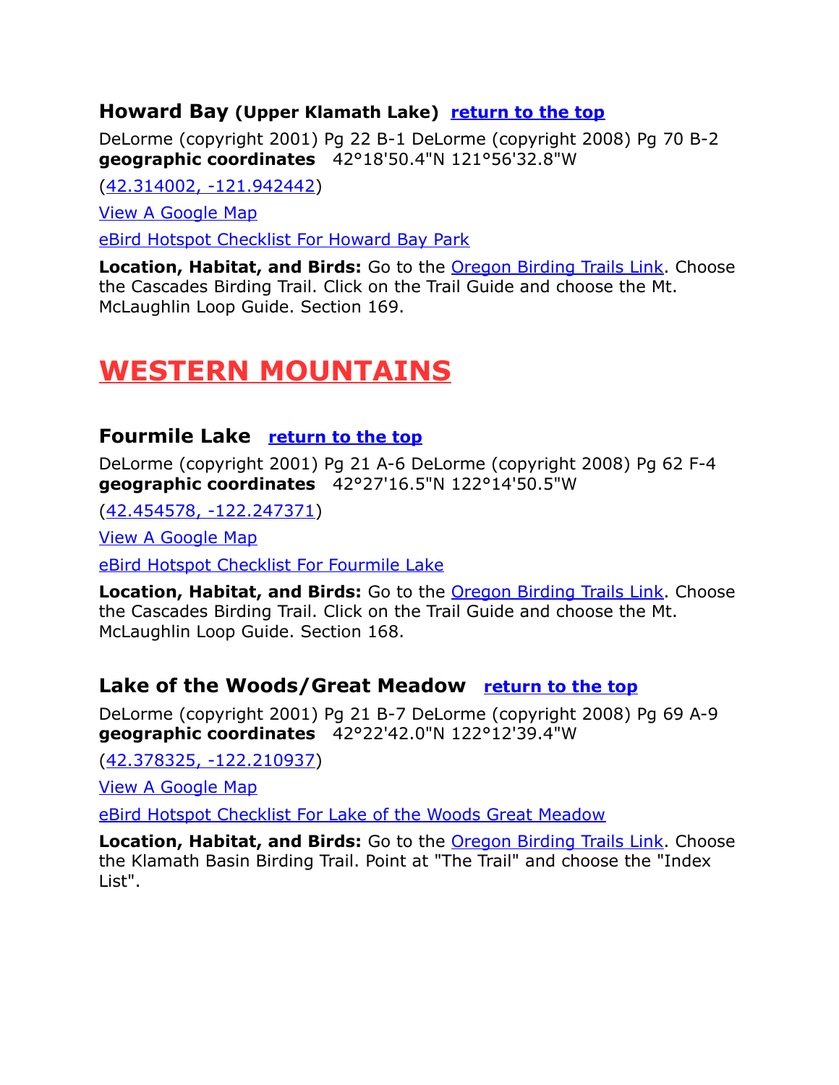#### **Howard Bay (Upper Klamath Lake) [return to the top](#page-0-0)**

DeLorme (copyright 2001) Pg 22 B-1 DeLorme (copyright 2008) Pg 70 B-2 **geographic coordinates** 42°18'50.4"N 121°56'32.8"W

[\(42.314002, -121.942442\)](https://www.google.com/maps/place/42%C2%B018)

[View A Google Map](http://maps.google.com/maps/ms?hl=en&ie=UTF8&msa=0&msid=108036481085398338899.00046da86a6f84a40fe6c&ll=42.342813,-121.865845&spn=0.410581,1.055374&t=p&z=11)

[eBird Hotspot Checklist For Howard Bay Park](http://ebird.org/ebird/hotspot/L1433414?yr=all&m=&rank=mrec)

**Location, Habitat, and Birds:** Go to the [Oregon Birding Trails Link.](http://www.oregonbirdingtrails.org/) Choose the Cascades Birding Trail. Click on the Trail Guide and choose the Mt. McLaughlin Loop Guide. Section 169.

# <span id="page-15-1"></span>**WESTERN MOUNTAINS**

# <span id="page-15-0"></span>**Fourmile Lake [return to the top](#page-0-0)**

DeLorme (copyright 2001) Pg 21 A-6 DeLorme (copyright 2008) Pg 62 F-4 **geographic coordinates** 42°27'16.5"N 122°14'50.5"W

[\(42.454578, -122.247371\)](https://www.google.com/maps/place/42%C2%B027)

[View A Google Map](http://maps.google.com/maps/ms?hl=en&ie=UTF8&msa=0&ll=42.420415,-122.187195&spn=0.401964,1.056747&z=11&msid=108036481085398338899.00046da7eed8b34f87c3c)

[eBird Hotspot Checklist For Fourmile Lake](http://ebird.org/ebird/hotspot/L2268054?yr=all&m=&rank=mrec)

**Location, Habitat, and Birds:** Go to the **Oregon Birding Trails Link**. Choose the Cascades Birding Trail. Click on the Trail Guide and choose the Mt. McLaughlin Loop Guide. Section 168.

#### Lake of the Woods/Great Meadow **[return to the top](#page-0-0)**

DeLorme (copyright 2001) Pg 21 B-7 DeLorme (copyright 2008) Pg 69 A-9 **geographic coordinates** 42°22'42.0"N 122°12'39.4"W

[\(42.378325, -122.210937\)](https://www.google.com/maps/place/42%C2%B022)

[View A Google Map](http://maps.google.com/maps/ms?hl=en&ie=UTF8&msa=0&ll=42.430299,-122.156982&spn=0.198923,0.527687&z=12&msid=108036481085398338899.00046d440df2b1106ae00)

[eBird Hotspot Checklist For Lake of the Woods Great Meadow](http://ebird.org/ebird/hotspot/L1598117?yr=all&m=&rank=mrec)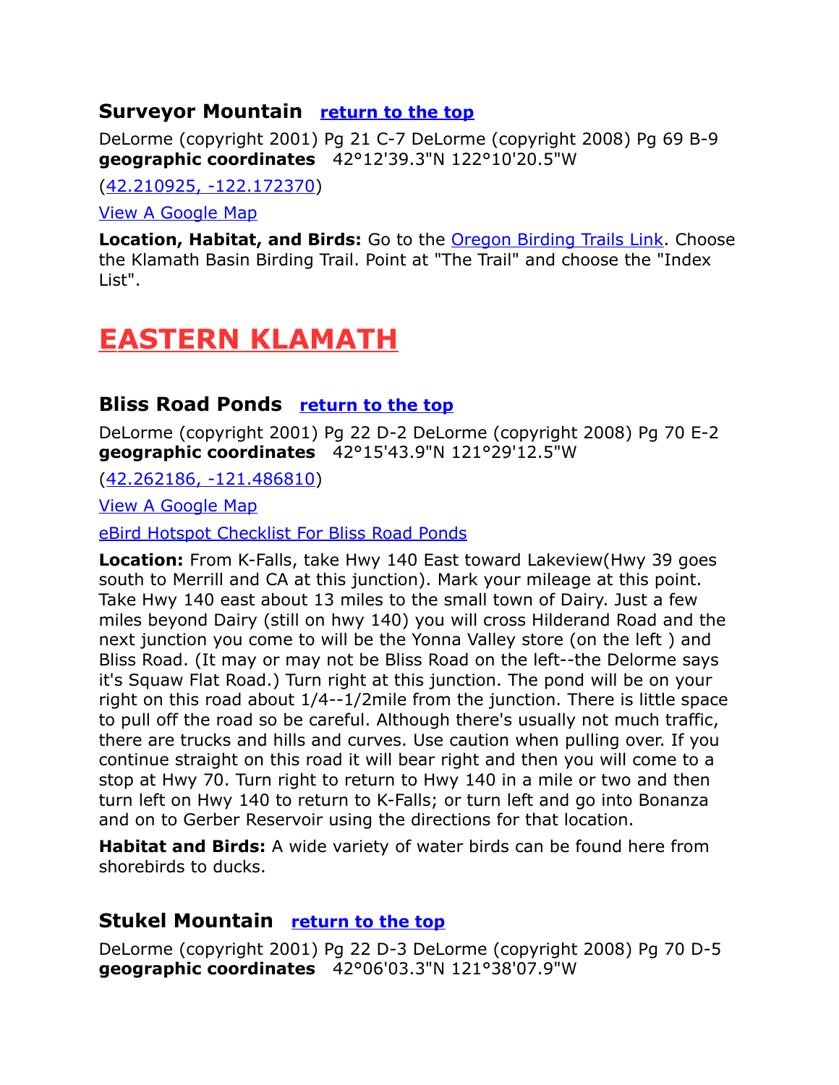# <span id="page-16-3"></span>**Surveyor Mountain [return to the top](#page-0-0)**

DeLorme (copyright 2001) Pg 21 C-7 DeLorme (copyright 2008) Pg 69 B-9 **geographic coordinates** 42°12'39.3"N 122°10'20.5"W

[\(42.210925, -122.172370\)](https://www.google.com/maps/place/42%C2%B012)

[View A Google Map](http://maps.google.com/maps/ms?hl=en&ie=UTF8&msa=0&ll=42.267528,-122.19183&spn=0.09972,0.263844&z=13&msid=108036481085398338899.00046d441bcab7b8b652f)

**Location, Habitat, and Birds:** Go to the **Oregon Birding Trails Link**. Choose the Klamath Basin Birding Trail. Point at "The Trail" and choose the "Index List".

# <span id="page-16-2"></span> **EASTERN KLAMATH**

# <span id="page-16-1"></span>**Bliss Road Ponds [return to the top](#page-0-0)**

DeLorme (copyright 2001) Pg 22 D-2 DeLorme (copyright 2008) Pg 70 E-2 **geographic coordinates** 42°15'43.9"N 121°29'12.5"W

[\(42.262186, -121.486810\)](https://www.google.com/maps/place/42%C2%B015)

[View A Google Map](http://maps.google.com/maps/ms?hl=en&ie=UTF8&msa=0&msid=108036481085398338899.00046e88bdb1356abf305&ll=41.922716,-120.863342&spn=1.37737,3.043213&z=9)

[eBird Hotspot Checklist For Bliss Road Ponds](http://ebird.org/ebird/hotspot/L1273544?yr=all&m=&rank=mrec)

**Location:** From K-Falls, take Hwy 140 East toward Lakeview(Hwy 39 goes south to Merrill and CA at this junction). Mark your mileage at this point. Take Hwy 140 east about 13 miles to the small town of Dairy. Just a few miles beyond Dairy (still on hwy 140) you will cross Hilderand Road and the next junction you come to will be the Yonna Valley store (on the left ) and Bliss Road. (It may or may not be Bliss Road on the left--the Delorme says it's Squaw Flat Road.) Turn right at this junction. The pond will be on your right on this road about 1/4--1/2mile from the junction. There is little space to pull off the road so be careful. Although there's usually not much traffic, there are trucks and hills and curves. Use caution when pulling over. If you continue straight on this road it will bear right and then you will come to a stop at Hwy 70. Turn right to return to Hwy 140 in a mile or two and then turn left on Hwy 140 to return to K-Falls; or turn left and go into Bonanza and on to Gerber Reservoir using the directions for that location.

**Habitat and Birds:** A wide variety of water birds can be found here from shorebirds to ducks.

#### <span id="page-16-0"></span>**Stukel Mountain [return to the top](#page-0-0)**

DeLorme (copyright 2001) Pg 22 D-3 DeLorme (copyright 2008) Pg 70 D-5 **geographic coordinates** 42°06'03.3"N 121°38'07.9"W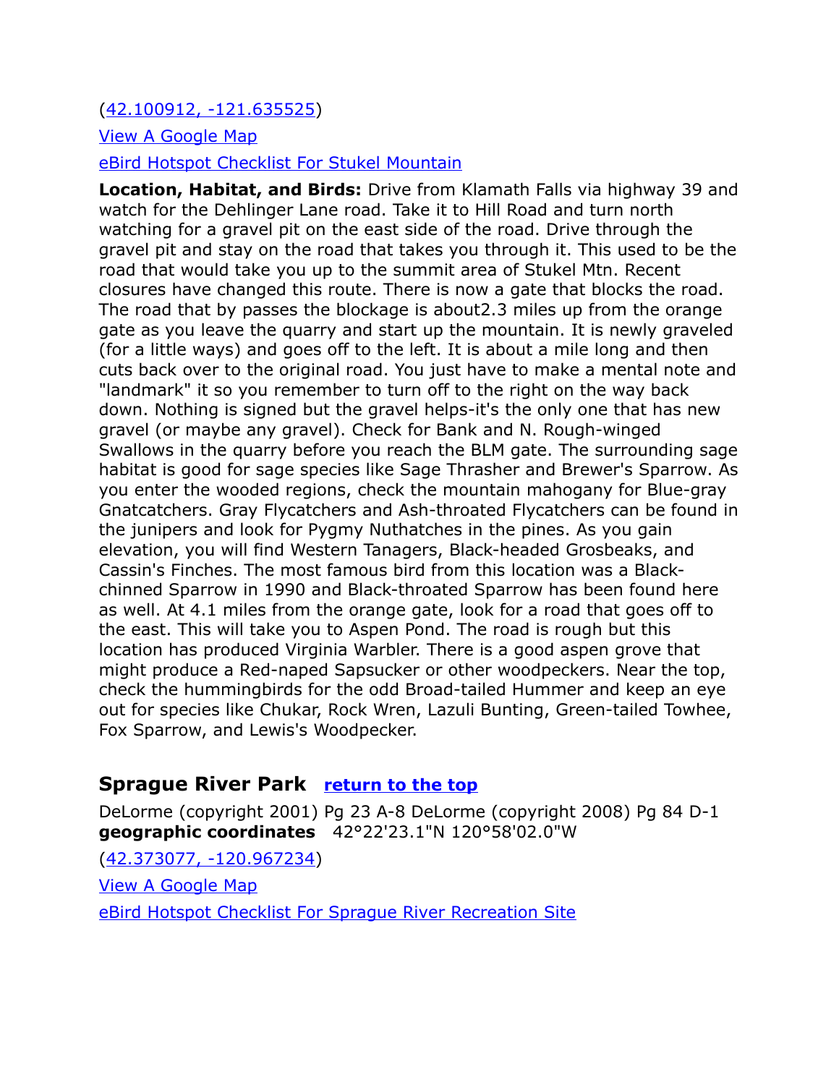[\(42.100912, -121.635525\)](https://www.google.com/maps/place/42%C2%B006)

[View A Google Map](http://maps.google.com/maps/ms?hl=en&ie=UTF8&msa=0&msid=108036481085398338899.00046f3c5e03773d9f71b&ll=42.116561,-121.585865&spn=0.097157,0.264187&z=13)

[eBird Hotspot Checklist For Stukel Mountain](http://ebird.org/ebird/hotspot/L753651?yr=all&m=&rank=mrec)

**Location, Habitat, and Birds:** Drive from Klamath Falls via highway 39 and watch for the Dehlinger Lane road. Take it to Hill Road and turn north watching for a gravel pit on the east side of the road. Drive through the gravel pit and stay on the road that takes you through it. This used to be the road that would take you up to the summit area of Stukel Mtn. Recent closures have changed this route. There is now a gate that blocks the road. The road that by passes the blockage is about2.3 miles up from the orange gate as you leave the quarry and start up the mountain. It is newly graveled (for a little ways) and goes off to the left. It is about a mile long and then cuts back over to the original road. You just have to make a mental note and "landmark" it so you remember to turn off to the right on the way back down. Nothing is signed but the gravel helps-it's the only one that has new gravel (or maybe any gravel). Check for Bank and N. Rough-winged Swallows in the quarry before you reach the BLM gate. The surrounding sage habitat is good for sage species like Sage Thrasher and Brewer's Sparrow. As you enter the wooded regions, check the mountain mahogany for Blue-gray Gnatcatchers. Gray Flycatchers and Ash-throated Flycatchers can be found in the junipers and look for Pygmy Nuthatches in the pines. As you gain elevation, you will find Western Tanagers, Black-headed Grosbeaks, and Cassin's Finches. The most famous bird from this location was a Blackchinned Sparrow in 1990 and Black-throated Sparrow has been found here as well. At 4.1 miles from the orange gate, look for a road that goes off to the east. This will take you to Aspen Pond. The road is rough but this location has produced Virginia Warbler. There is a good aspen grove that might produce a Red-naped Sapsucker or other woodpeckers. Near the top, check the hummingbirds for the odd Broad-tailed Hummer and keep an eye out for species like Chukar, Rock Wren, Lazuli Bunting, Green-tailed Towhee, Fox Sparrow, and Lewis's Woodpecker.

# <span id="page-17-0"></span>**Sprague River Park [return to the top](#page-0-0)**

DeLorme (copyright 2001) Pg 23 A-8 DeLorme (copyright 2008) Pg 84 D-1 **geographic coordinates** 42°22'23.1"N 120°58'02.0"W

[\(42.373077, -120.967234\)](https://www.google.com/maps/place/42%C2%B022) [View A Google Map](http://maps.google.com/maps/ms?hl=en&ie=UTF8&msa=0&ll=42.270196,-120.293427&spn=0.798739,2.110748&z=10&msid=108036481085398338899.00046de8709deb65069d9) [eBird Hotspot Checklist For Sprague River Recreation Site](http://ebird.org/ebird/hotspot/L987789?yr=all&m=&rank=mrec)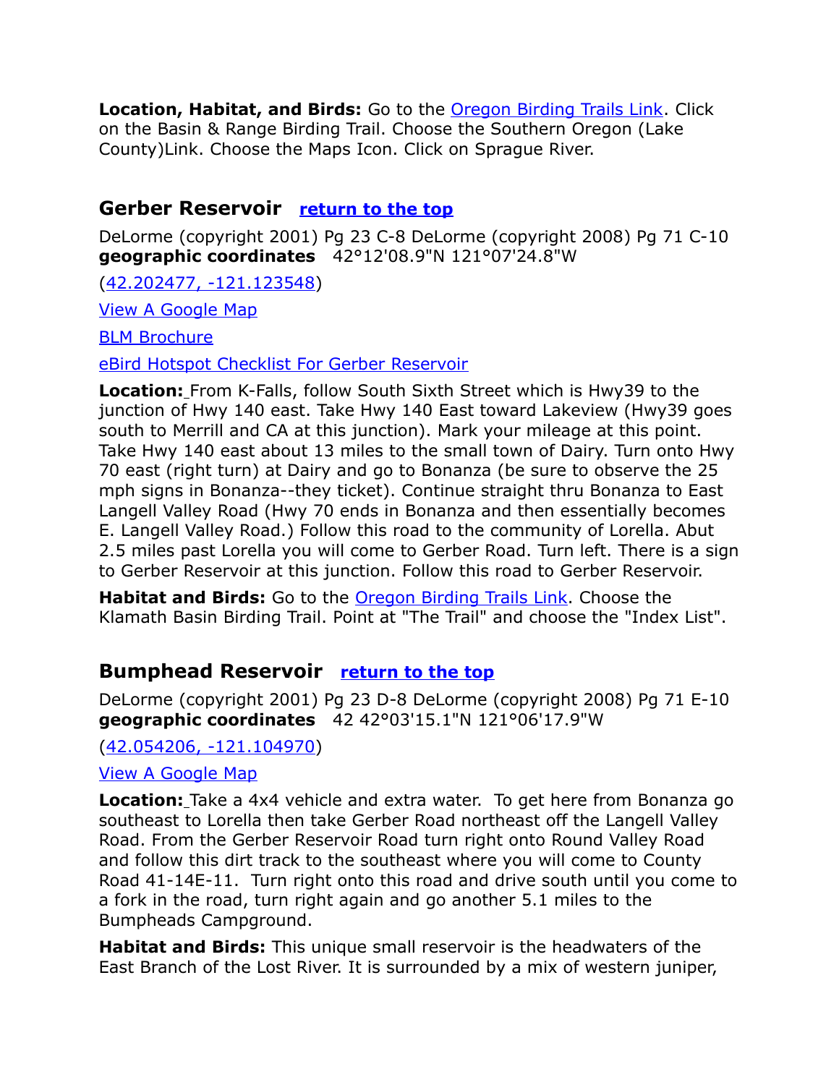**Location, Habitat, and Birds:** Go to the [Oregon Birding Trails Link.](http://www.oregonbirdingtrails.org/) Click on the Basin & Range Birding Trail. Choose the Southern Oregon (Lake County)Link. Choose the Maps Icon. Click on Sprague River.

#### <span id="page-18-1"></span>**Gerber Reservoir [return to the top](#page-0-0)**

DeLorme (copyright 2001) Pg 23 C-8 DeLorme (copyright 2008) Pg 71 C-10 **geographic coordinates** 42°12'08.9"N 121°07'24.8"W

[\(42.202477, -121.123548\)](https://www.google.com/maps/place/42%C2%B012)

[View A Google Map](http://maps.google.com/maps/ms?hl=en&ie=UTF8&msa=0&msid=108036481085398338899.00046e88bdb1356abf305&ll=41.922716,-120.863342&spn=1.37737,3.043213&z=9)

**[BLM Brochure](http://www.blm.gov/or/resources/recreation/files/brochures/Gerber%20Rec%20Area.pdf)** 

[eBird Hotspot Checklist For Gerber Reservoir](http://ebird.org/ebird/hotspot/L1232066?yr=all&m=&rank=mrec)

**Location:** From K-Falls, follow South Sixth Street which is Hwy39 to the junction of Hwy 140 east. Take Hwy 140 East toward Lakeview (Hwy39 goes south to Merrill and CA at this junction). Mark your mileage at this point. Take Hwy 140 east about 13 miles to the small town of Dairy. Turn onto Hwy 70 east (right turn) at Dairy and go to Bonanza (be sure to observe the 25 mph signs in Bonanza--they ticket). Continue straight thru Bonanza to East Langell Valley Road (Hwy 70 ends in Bonanza and then essentially becomes E. Langell Valley Road.) Follow this road to the community of Lorella. Abut 2.5 miles past Lorella you will come to Gerber Road. Turn left. There is a sign to Gerber Reservoir at this junction. Follow this road to Gerber Reservoir.

**Habitat and Birds:** Go to the [Oregon Birding Trails Link.](http://www.oregonbirdingtrails.org/) Choose the Klamath Basin Birding Trail. Point at "The Trail" and choose the "Index List".

# <span id="page-18-0"></span>**Bumphead Reservoir [return to the top](#page-0-0)**

DeLorme (copyright 2001) Pg 23 D-8 DeLorme (copyright 2008) Pg 71 E-10 **geographic coordinates** 42 42°03'15.1"N 121°06'17.9"W

[\(42.054206, -121.104970\)](https://www.google.com/maps/place/42%C2%B003)

#### [View A Google Map](http://maps.google.com/maps/ms?hl=en&ie=UTF8&msa=0&msid=108036481085398338899.00046e88bdb1356abf305&ll=41.922716,-120.863342&spn=1.37737,3.043213&z=9)

**Location:** Take a 4x4 vehicle and extra water. To get here from Bonanza go southeast to Lorella then take Gerber Road northeast off the Langell Valley Road. From the Gerber Reservoir Road turn right onto Round Valley Road and follow this dirt track to the southeast where you will come to County Road 41-14E-11. Turn right onto this road and drive south until you come to a fork in the road, turn right again and go another 5.1 miles to the Bumpheads Campground.

**Habitat and Birds:** This unique small reservoir is the headwaters of the East Branch of the Lost River. It is surrounded by a mix of western juniper,